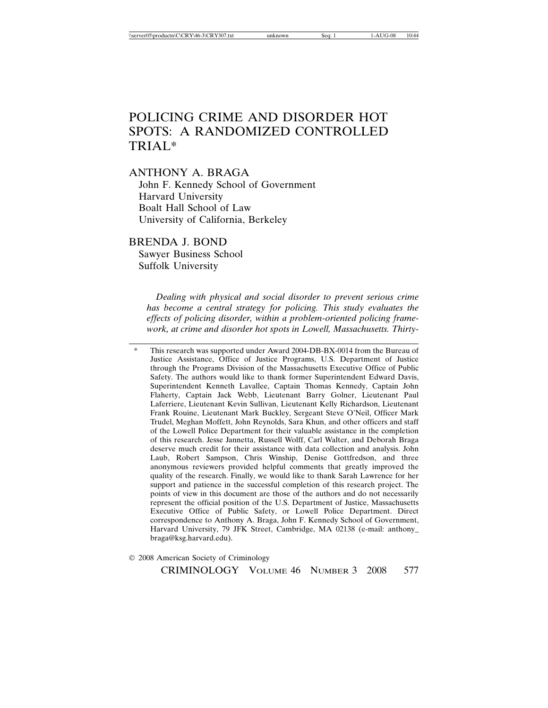# POLICING CRIME AND DISORDER HOT SPOTS: A RANDOMIZED CONTROLLED TRIAL\*

# ANTHONY A. BRAGA

John F. Kennedy School of Government Harvard University Boalt Hall School of Law University of California, Berkeley

# BRENDA J. BOND

Sawyer Business School Suffolk University

*Dealing with physical and social disorder to prevent serious crime has become a central strategy for policing. This study evaluates the effects of policing disorder, within a problem-oriented policing framework, at crime and disorder hot spots in Lowell, Massachusetts. Thirty-*

2008 American Society of Criminology

CRIMINOLOGY VOLUME 46 NUMBER 3 2008 577

This research was supported under Award 2004-DB-BX-0014 from the Bureau of Justice Assistance, Office of Justice Programs, U.S. Department of Justice through the Programs Division of the Massachusetts Executive Office of Public Safety. The authors would like to thank former Superintendent Edward Davis, Superintendent Kenneth Lavallee, Captain Thomas Kennedy, Captain John Flaherty, Captain Jack Webb, Lieutenant Barry Golner, Lieutenant Paul Laferriere, Lieutenant Kevin Sullivan, Lieutenant Kelly Richardson, Lieutenant Frank Rouine, Lieutenant Mark Buckley, Sergeant Steve O'Neil, Officer Mark Trudel, Meghan Moffett, John Reynolds, Sara Khun, and other officers and staff of the Lowell Police Department for their valuable assistance in the completion of this research. Jesse Jannetta, Russell Wolff, Carl Walter, and Deborah Braga deserve much credit for their assistance with data collection and analysis. John Laub, Robert Sampson, Chris Winship, Denise Gottfredson, and three anonymous reviewers provided helpful comments that greatly improved the quality of the research. Finally, we would like to thank Sarah Lawrence for her support and patience in the successful completion of this research project. The points of view in this document are those of the authors and do not necessarily represent the official position of the U.S. Department of Justice, Massachusetts Executive Office of Public Safety, or Lowell Police Department. Direct correspondence to Anthony A. Braga, John F. Kennedy School of Government, Harvard University, 79 JFK Street, Cambridge, MA 02138 (e-mail: anthony\_ braga@ksg.harvard.edu).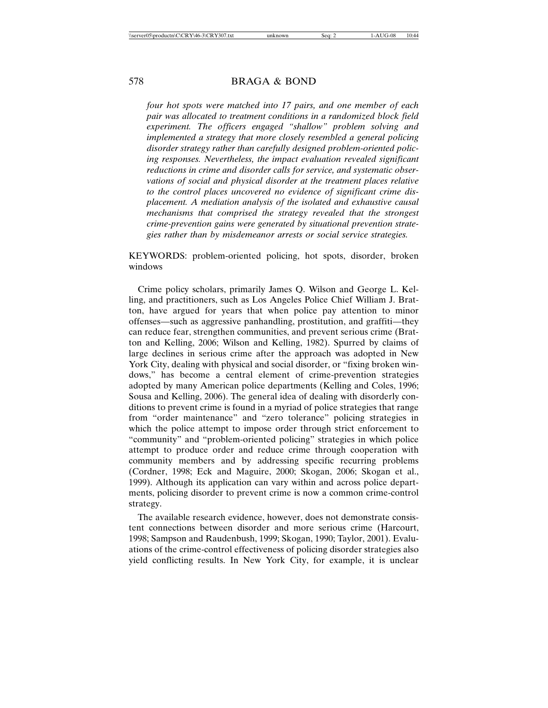*four hot spots were matched into 17 pairs, and one member of each pair was allocated to treatment conditions in a randomized block field experiment. The officers engaged "shallow" problem solving and implemented a strategy that more closely resembled a general policing disorder strategy rather than carefully designed problem-oriented policing responses. Nevertheless, the impact evaluation revealed significant reductions in crime and disorder calls for service, and systematic observations of social and physical disorder at the treatment places relative to the control places uncovered no evidence of significant crime displacement. A mediation analysis of the isolated and exhaustive causal mechanisms that comprised the strategy revealed that the strongest crime-prevention gains were generated by situational prevention strategies rather than by misdemeanor arrests or social service strategies.*

KEYWORDS: problem-oriented policing, hot spots, disorder, broken windows

Crime policy scholars, primarily James Q. Wilson and George L. Kelling, and practitioners, such as Los Angeles Police Chief William J. Bratton, have argued for years that when police pay attention to minor offenses—such as aggressive panhandling, prostitution, and graffiti—they can reduce fear, strengthen communities, and prevent serious crime (Bratton and Kelling, 2006; Wilson and Kelling, 1982). Spurred by claims of large declines in serious crime after the approach was adopted in New York City, dealing with physical and social disorder, or "fixing broken windows," has become a central element of crime-prevention strategies adopted by many American police departments (Kelling and Coles, 1996; Sousa and Kelling, 2006). The general idea of dealing with disorderly conditions to prevent crime is found in a myriad of police strategies that range from "order maintenance" and "zero tolerance" policing strategies in which the police attempt to impose order through strict enforcement to "community" and "problem-oriented policing" strategies in which police attempt to produce order and reduce crime through cooperation with community members and by addressing specific recurring problems (Cordner, 1998; Eck and Maguire, 2000; Skogan, 2006; Skogan et al., 1999). Although its application can vary within and across police departments, policing disorder to prevent crime is now a common crime-control strategy.

The available research evidence, however, does not demonstrate consistent connections between disorder and more serious crime (Harcourt, 1998; Sampson and Raudenbush, 1999; Skogan, 1990; Taylor, 2001). Evaluations of the crime-control effectiveness of policing disorder strategies also yield conflicting results. In New York City, for example, it is unclear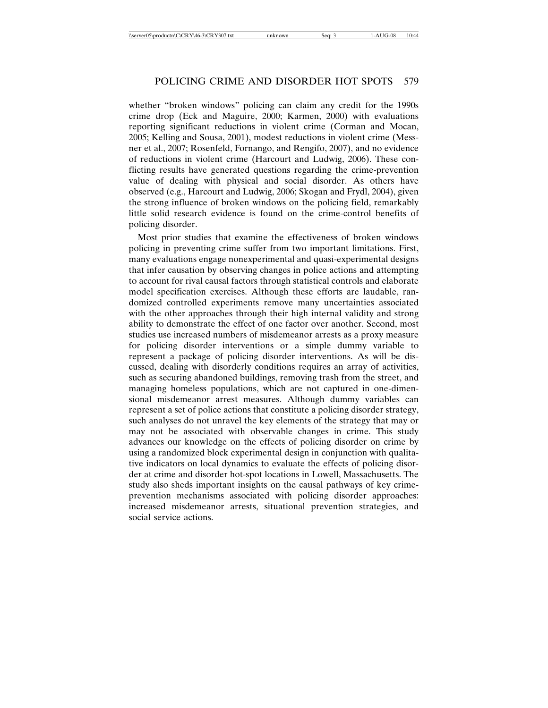whether "broken windows" policing can claim any credit for the 1990s crime drop (Eck and Maguire, 2000; Karmen, 2000) with evaluations reporting significant reductions in violent crime (Corman and Mocan, 2005; Kelling and Sousa, 2001), modest reductions in violent crime (Messner et al., 2007; Rosenfeld, Fornango, and Rengifo, 2007), and no evidence of reductions in violent crime (Harcourt and Ludwig, 2006). These conflicting results have generated questions regarding the crime-prevention value of dealing with physical and social disorder. As others have observed (e.g., Harcourt and Ludwig, 2006; Skogan and Frydl, 2004), given the strong influence of broken windows on the policing field, remarkably little solid research evidence is found on the crime-control benefits of policing disorder.

Most prior studies that examine the effectiveness of broken windows policing in preventing crime suffer from two important limitations. First, many evaluations engage nonexperimental and quasi-experimental designs that infer causation by observing changes in police actions and attempting to account for rival causal factors through statistical controls and elaborate model specification exercises. Although these efforts are laudable, randomized controlled experiments remove many uncertainties associated with the other approaches through their high internal validity and strong ability to demonstrate the effect of one factor over another. Second, most studies use increased numbers of misdemeanor arrests as a proxy measure for policing disorder interventions or a simple dummy variable to represent a package of policing disorder interventions. As will be discussed, dealing with disorderly conditions requires an array of activities, such as securing abandoned buildings, removing trash from the street, and managing homeless populations, which are not captured in one-dimensional misdemeanor arrest measures. Although dummy variables can represent a set of police actions that constitute a policing disorder strategy, such analyses do not unravel the key elements of the strategy that may or may not be associated with observable changes in crime. This study advances our knowledge on the effects of policing disorder on crime by using a randomized block experimental design in conjunction with qualitative indicators on local dynamics to evaluate the effects of policing disorder at crime and disorder hot-spot locations in Lowell, Massachusetts. The study also sheds important insights on the causal pathways of key crimeprevention mechanisms associated with policing disorder approaches: increased misdemeanor arrests, situational prevention strategies, and social service actions.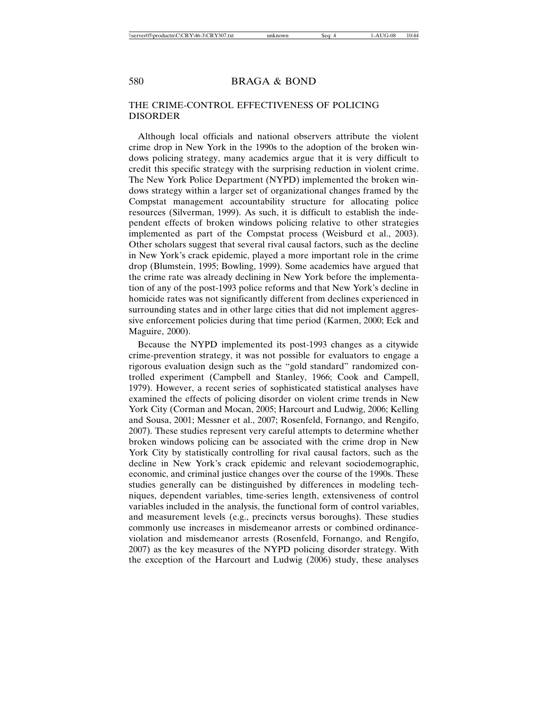# THE CRIME-CONTROL EFFECTIVENESS OF POLICING DISORDER

Although local officials and national observers attribute the violent crime drop in New York in the 1990s to the adoption of the broken windows policing strategy, many academics argue that it is very difficult to credit this specific strategy with the surprising reduction in violent crime. The New York Police Department (NYPD) implemented the broken windows strategy within a larger set of organizational changes framed by the Compstat management accountability structure for allocating police resources (Silverman, 1999). As such, it is difficult to establish the independent effects of broken windows policing relative to other strategies implemented as part of the Compstat process (Weisburd et al., 2003). Other scholars suggest that several rival causal factors, such as the decline in New York's crack epidemic, played a more important role in the crime drop (Blumstein, 1995; Bowling, 1999). Some academics have argued that the crime rate was already declining in New York before the implementation of any of the post-1993 police reforms and that New York's decline in homicide rates was not significantly different from declines experienced in surrounding states and in other large cities that did not implement aggressive enforcement policies during that time period (Karmen, 2000; Eck and Maguire, 2000).

Because the NYPD implemented its post-1993 changes as a citywide crime-prevention strategy, it was not possible for evaluators to engage a rigorous evaluation design such as the "gold standard" randomized controlled experiment (Campbell and Stanley, 1966; Cook and Campell, 1979). However, a recent series of sophisticated statistical analyses have examined the effects of policing disorder on violent crime trends in New York City (Corman and Mocan, 2005; Harcourt and Ludwig, 2006; Kelling and Sousa, 2001; Messner et al., 2007; Rosenfeld, Fornango, and Rengifo, 2007). These studies represent very careful attempts to determine whether broken windows policing can be associated with the crime drop in New York City by statistically controlling for rival causal factors, such as the decline in New York's crack epidemic and relevant sociodemographic, economic, and criminal justice changes over the course of the 1990s. These studies generally can be distinguished by differences in modeling techniques, dependent variables, time-series length, extensiveness of control variables included in the analysis, the functional form of control variables, and measurement levels (e.g., precincts versus boroughs). These studies commonly use increases in misdemeanor arrests or combined ordinanceviolation and misdemeanor arrests (Rosenfeld, Fornango, and Rengifo, 2007) as the key measures of the NYPD policing disorder strategy. With the exception of the Harcourt and Ludwig (2006) study, these analyses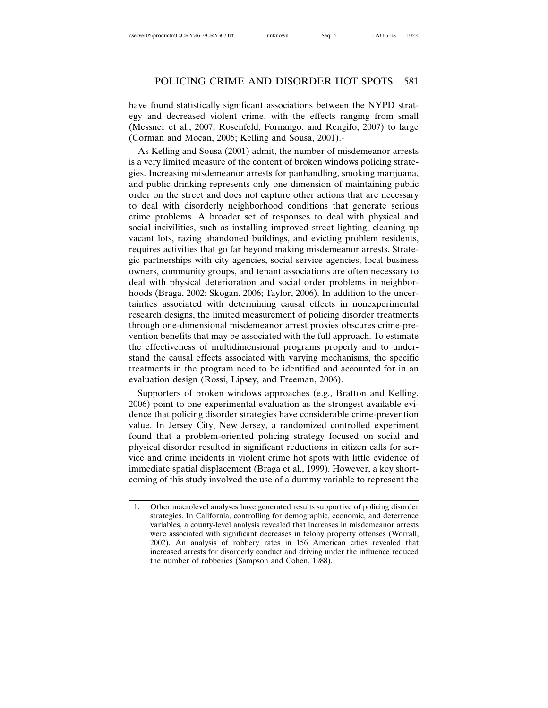have found statistically significant associations between the NYPD strategy and decreased violent crime, with the effects ranging from small (Messner et al., 2007; Rosenfeld, Fornango, and Rengifo, 2007) to large (Corman and Mocan, 2005; Kelling and Sousa, 2001).1

As Kelling and Sousa (2001) admit, the number of misdemeanor arrests is a very limited measure of the content of broken windows policing strategies. Increasing misdemeanor arrests for panhandling, smoking marijuana, and public drinking represents only one dimension of maintaining public order on the street and does not capture other actions that are necessary to deal with disorderly neighborhood conditions that generate serious crime problems. A broader set of responses to deal with physical and social incivilities, such as installing improved street lighting, cleaning up vacant lots, razing abandoned buildings, and evicting problem residents, requires activities that go far beyond making misdemeanor arrests. Strategic partnerships with city agencies, social service agencies, local business owners, community groups, and tenant associations are often necessary to deal with physical deterioration and social order problems in neighborhoods (Braga, 2002; Skogan, 2006; Taylor, 2006). In addition to the uncertainties associated with determining causal effects in nonexperimental research designs, the limited measurement of policing disorder treatments through one-dimensional misdemeanor arrest proxies obscures crime-prevention benefits that may be associated with the full approach. To estimate the effectiveness of multidimensional programs properly and to understand the causal effects associated with varying mechanisms, the specific treatments in the program need to be identified and accounted for in an evaluation design (Rossi, Lipsey, and Freeman, 2006).

Supporters of broken windows approaches (e.g., Bratton and Kelling, 2006) point to one experimental evaluation as the strongest available evidence that policing disorder strategies have considerable crime-prevention value. In Jersey City, New Jersey, a randomized controlled experiment found that a problem-oriented policing strategy focused on social and physical disorder resulted in significant reductions in citizen calls for service and crime incidents in violent crime hot spots with little evidence of immediate spatial displacement (Braga et al., 1999). However, a key shortcoming of this study involved the use of a dummy variable to represent the

<sup>1.</sup> Other macrolevel analyses have generated results supportive of policing disorder strategies. In California, controlling for demographic, economic, and deterrence variables, a county-level analysis revealed that increases in misdemeanor arrests were associated with significant decreases in felony property offenses (Worrall, 2002). An analysis of robbery rates in 156 American cities revealed that increased arrests for disorderly conduct and driving under the influence reduced the number of robberies (Sampson and Cohen, 1988).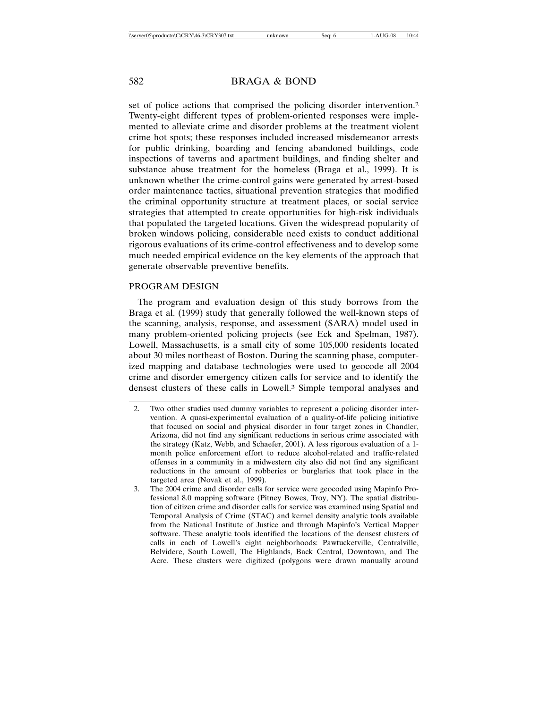set of police actions that comprised the policing disorder intervention.2 Twenty-eight different types of problem-oriented responses were implemented to alleviate crime and disorder problems at the treatment violent crime hot spots; these responses included increased misdemeanor arrests for public drinking, boarding and fencing abandoned buildings, code inspections of taverns and apartment buildings, and finding shelter and substance abuse treatment for the homeless (Braga et al., 1999). It is unknown whether the crime-control gains were generated by arrest-based order maintenance tactics, situational prevention strategies that modified the criminal opportunity structure at treatment places, or social service strategies that attempted to create opportunities for high-risk individuals that populated the targeted locations. Given the widespread popularity of broken windows policing, considerable need exists to conduct additional rigorous evaluations of its crime-control effectiveness and to develop some much needed empirical evidence on the key elements of the approach that generate observable preventive benefits.

# PROGRAM DESIGN

The program and evaluation design of this study borrows from the Braga et al. (1999) study that generally followed the well-known steps of the scanning, analysis, response, and assessment (SARA) model used in many problem-oriented policing projects (see Eck and Spelman, 1987). Lowell, Massachusetts, is a small city of some 105,000 residents located about 30 miles northeast of Boston. During the scanning phase, computerized mapping and database technologies were used to geocode all 2004 crime and disorder emergency citizen calls for service and to identify the densest clusters of these calls in Lowell.3 Simple temporal analyses and

<sup>2.</sup> Two other studies used dummy variables to represent a policing disorder intervention. A quasi-experimental evaluation of a quality-of-life policing initiative that focused on social and physical disorder in four target zones in Chandler, Arizona, did not find any significant reductions in serious crime associated with the strategy (Katz, Webb, and Schaefer, 2001). A less rigorous evaluation of a 1 month police enforcement effort to reduce alcohol-related and traffic-related offenses in a community in a midwestern city also did not find any significant reductions in the amount of robberies or burglaries that took place in the targeted area (Novak et al., 1999).

<sup>3.</sup> The 2004 crime and disorder calls for service were geocoded using Mapinfo Professional 8.0 mapping software (Pitney Bowes, Troy, NY). The spatial distribution of citizen crime and disorder calls for service was examined using Spatial and Temporal Analysis of Crime (STAC) and kernel density analytic tools available from the National Institute of Justice and through Mapinfo's Vertical Mapper software. These analytic tools identified the locations of the densest clusters of calls in each of Lowell's eight neighborhoods: Pawtucketville, Centralville, Belvidere, South Lowell, The Highlands, Back Central, Downtown, and The Acre. These clusters were digitized (polygons were drawn manually around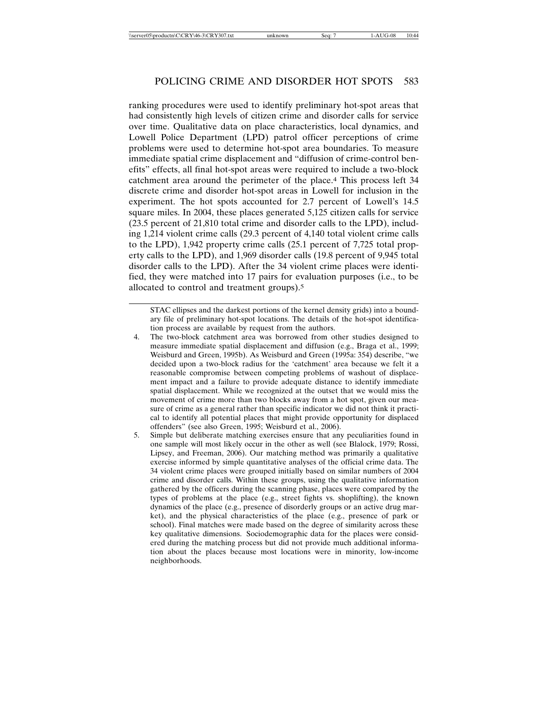ranking procedures were used to identify preliminary hot-spot areas that had consistently high levels of citizen crime and disorder calls for service over time. Qualitative data on place characteristics, local dynamics, and Lowell Police Department (LPD) patrol officer perceptions of crime problems were used to determine hot-spot area boundaries. To measure immediate spatial crime displacement and "diffusion of crime-control benefits" effects, all final hot-spot areas were required to include a two-block catchment area around the perimeter of the place.4 This process left 34 discrete crime and disorder hot-spot areas in Lowell for inclusion in the experiment. The hot spots accounted for 2.7 percent of Lowell's 14.5 square miles. In 2004, these places generated 5,125 citizen calls for service (23.5 percent of 21,810 total crime and disorder calls to the LPD), including 1,214 violent crime calls (29.3 percent of 4,140 total violent crime calls to the LPD), 1,942 property crime calls (25.1 percent of 7,725 total property calls to the LPD), and 1,969 disorder calls (19.8 percent of 9,945 total disorder calls to the LPD). After the 34 violent crime places were identified, they were matched into 17 pairs for evaluation purposes (i.e., to be allocated to control and treatment groups).5

STAC ellipses and the darkest portions of the kernel density grids) into a boundary file of preliminary hot-spot locations. The details of the hot-spot identification process are available by request from the authors.

The two-block catchment area was borrowed from other studies designed to measure immediate spatial displacement and diffusion (e.g., Braga et al., 1999; Weisburd and Green, 1995b). As Weisburd and Green (1995a: 354) describe, "we decided upon a two-block radius for the 'catchment' area because we felt it a reasonable compromise between competing problems of washout of displacement impact and a failure to provide adequate distance to identify immediate spatial displacement. While we recognized at the outset that we would miss the movement of crime more than two blocks away from a hot spot, given our measure of crime as a general rather than specific indicator we did not think it practical to identify all potential places that might provide opportunity for displaced offenders" (see also Green, 1995; Weisburd et al., 2006).

<sup>5.</sup> Simple but deliberate matching exercises ensure that any peculiarities found in one sample will most likely occur in the other as well (see Blalock, 1979; Rossi, Lipsey, and Freeman, 2006). Our matching method was primarily a qualitative exercise informed by simple quantitative analyses of the official crime data. The 34 violent crime places were grouped initially based on similar numbers of 2004 crime and disorder calls. Within these groups, using the qualitative information gathered by the officers during the scanning phase, places were compared by the types of problems at the place (e.g., street fights vs. shoplifting), the known dynamics of the place (e.g., presence of disorderly groups or an active drug market), and the physical characteristics of the place (e.g., presence of park or school). Final matches were made based on the degree of similarity across these key qualitative dimensions. Sociodemographic data for the places were considered during the matching process but did not provide much additional information about the places because most locations were in minority, low-income neighborhoods.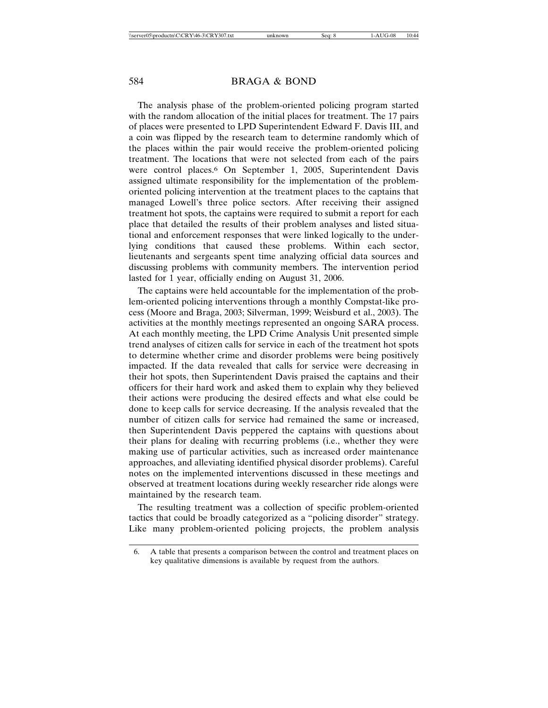The analysis phase of the problem-oriented policing program started with the random allocation of the initial places for treatment. The 17 pairs of places were presented to LPD Superintendent Edward F. Davis III, and a coin was flipped by the research team to determine randomly which of the places within the pair would receive the problem-oriented policing treatment. The locations that were not selected from each of the pairs were control places.6 On September 1, 2005, Superintendent Davis assigned ultimate responsibility for the implementation of the problemoriented policing intervention at the treatment places to the captains that managed Lowell's three police sectors. After receiving their assigned treatment hot spots, the captains were required to submit a report for each place that detailed the results of their problem analyses and listed situational and enforcement responses that were linked logically to the underlying conditions that caused these problems. Within each sector, lieutenants and sergeants spent time analyzing official data sources and discussing problems with community members. The intervention period lasted for 1 year, officially ending on August 31, 2006.

The captains were held accountable for the implementation of the problem-oriented policing interventions through a monthly Compstat-like process (Moore and Braga, 2003; Silverman, 1999; Weisburd et al., 2003). The activities at the monthly meetings represented an ongoing SARA process. At each monthly meeting, the LPD Crime Analysis Unit presented simple trend analyses of citizen calls for service in each of the treatment hot spots to determine whether crime and disorder problems were being positively impacted. If the data revealed that calls for service were decreasing in their hot spots, then Superintendent Davis praised the captains and their officers for their hard work and asked them to explain why they believed their actions were producing the desired effects and what else could be done to keep calls for service decreasing. If the analysis revealed that the number of citizen calls for service had remained the same or increased, then Superintendent Davis peppered the captains with questions about their plans for dealing with recurring problems (i.e., whether they were making use of particular activities, such as increased order maintenance approaches, and alleviating identified physical disorder problems). Careful notes on the implemented interventions discussed in these meetings and observed at treatment locations during weekly researcher ride alongs were maintained by the research team.

The resulting treatment was a collection of specific problem-oriented tactics that could be broadly categorized as a "policing disorder" strategy. Like many problem-oriented policing projects, the problem analysis

<sup>6.</sup> A table that presents a comparison between the control and treatment places on key qualitative dimensions is available by request from the authors.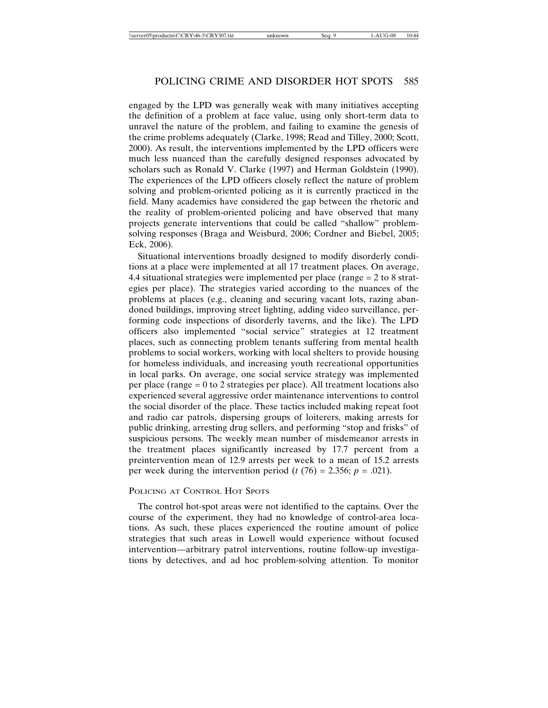engaged by the LPD was generally weak with many initiatives accepting the definition of a problem at face value, using only short-term data to unravel the nature of the problem, and failing to examine the genesis of the crime problems adequately (Clarke, 1998; Read and Tilley, 2000; Scott, 2000). As result, the interventions implemented by the LPD officers were much less nuanced than the carefully designed responses advocated by scholars such as Ronald V. Clarke (1997) and Herman Goldstein (1990). The experiences of the LPD officers closely reflect the nature of problem solving and problem-oriented policing as it is currently practiced in the field. Many academics have considered the gap between the rhetoric and the reality of problem-oriented policing and have observed that many projects generate interventions that could be called "shallow" problemsolving responses (Braga and Weisburd, 2006; Cordner and Biebel, 2005; Eck, 2006).

Situational interventions broadly designed to modify disorderly conditions at a place were implemented at all 17 treatment places. On average, 4.4 situational strategies were implemented per place (range = 2 to 8 strategies per place). The strategies varied according to the nuances of the problems at places (e.g., cleaning and securing vacant lots, razing abandoned buildings, improving street lighting, adding video surveillance, performing code inspections of disorderly taverns, and the like). The LPD officers also implemented "social service" strategies at 12 treatment places, such as connecting problem tenants suffering from mental health problems to social workers, working with local shelters to provide housing for homeless individuals, and increasing youth recreational opportunities in local parks. On average, one social service strategy was implemented per place (range = 0 to 2 strategies per place). All treatment locations also experienced several aggressive order maintenance interventions to control the social disorder of the place. These tactics included making repeat foot and radio car patrols, dispersing groups of loiterers, making arrests for public drinking, arresting drug sellers, and performing "stop and frisks" of suspicious persons. The weekly mean number of misdemeanor arrests in the treatment places significantly increased by 17.7 percent from a preintervention mean of 12.9 arrests per week to a mean of 15.2 arrests per week during the intervention period  $(t (76) = 2.356; p = .021)$ .

#### POLICING AT CONTROL HOT SPOTS

The control hot-spot areas were not identified to the captains. Over the course of the experiment, they had no knowledge of control-area locations. As such, these places experienced the routine amount of police strategies that such areas in Lowell would experience without focused intervention—arbitrary patrol interventions, routine follow-up investigations by detectives, and ad hoc problem-solving attention. To monitor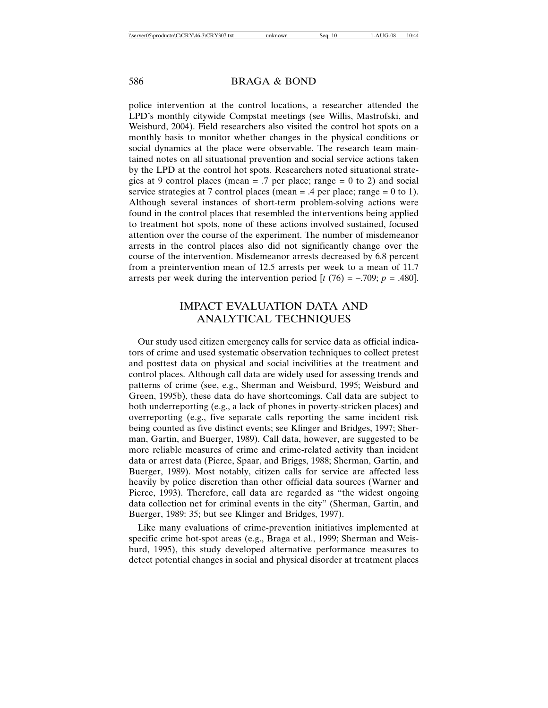police intervention at the control locations, a researcher attended the LPD's monthly citywide Compstat meetings (see Willis, Mastrofski, and Weisburd, 2004). Field researchers also visited the control hot spots on a monthly basis to monitor whether changes in the physical conditions or social dynamics at the place were observable. The research team maintained notes on all situational prevention and social service actions taken by the LPD at the control hot spots. Researchers noted situational strategies at 9 control places (mean  $= .7$  per place; range  $= 0$  to 2) and social service strategies at 7 control places (mean = .4 per place; range = 0 to 1). Although several instances of short-term problem-solving actions were found in the control places that resembled the interventions being applied to treatment hot spots, none of these actions involved sustained, focused attention over the course of the experiment. The number of misdemeanor arrests in the control places also did not significantly change over the course of the intervention. Misdemeanor arrests decreased by 6.8 percent from a preintervention mean of 12.5 arrests per week to a mean of 11.7 arrests per week during the intervention period  $\left[\frac{t(76)}{6}\right] = -.709$ ;  $p = .480$ .

# IMPACT EVALUATION DATA AND ANALYTICAL TECHNIQUES

Our study used citizen emergency calls for service data as official indicators of crime and used systematic observation techniques to collect pretest and posttest data on physical and social incivilities at the treatment and control places. Although call data are widely used for assessing trends and patterns of crime (see, e.g., Sherman and Weisburd, 1995; Weisburd and Green, 1995b), these data do have shortcomings. Call data are subject to both underreporting (e.g., a lack of phones in poverty-stricken places) and overreporting (e.g., five separate calls reporting the same incident risk being counted as five distinct events; see Klinger and Bridges, 1997; Sherman, Gartin, and Buerger, 1989). Call data, however, are suggested to be more reliable measures of crime and crime-related activity than incident data or arrest data (Pierce, Spaar, and Briggs, 1988; Sherman, Gartin, and Buerger, 1989). Most notably, citizen calls for service are affected less heavily by police discretion than other official data sources (Warner and Pierce, 1993). Therefore, call data are regarded as "the widest ongoing data collection net for criminal events in the city" (Sherman, Gartin, and Buerger, 1989: 35; but see Klinger and Bridges, 1997).

Like many evaluations of crime-prevention initiatives implemented at specific crime hot-spot areas (e.g., Braga et al., 1999; Sherman and Weisburd, 1995), this study developed alternative performance measures to detect potential changes in social and physical disorder at treatment places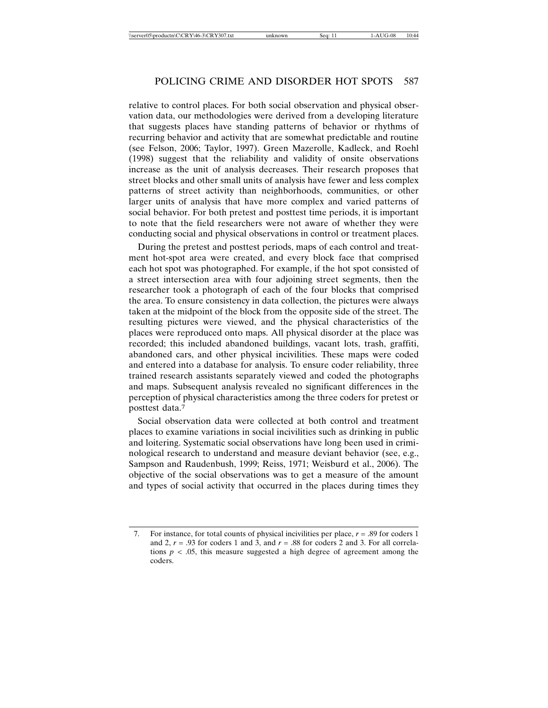relative to control places. For both social observation and physical observation data, our methodologies were derived from a developing literature that suggests places have standing patterns of behavior or rhythms of recurring behavior and activity that are somewhat predictable and routine (see Felson, 2006; Taylor, 1997). Green Mazerolle, Kadleck, and Roehl (1998) suggest that the reliability and validity of onsite observations increase as the unit of analysis decreases. Their research proposes that street blocks and other small units of analysis have fewer and less complex patterns of street activity than neighborhoods, communities, or other larger units of analysis that have more complex and varied patterns of social behavior. For both pretest and posttest time periods, it is important to note that the field researchers were not aware of whether they were conducting social and physical observations in control or treatment places.

During the pretest and posttest periods, maps of each control and treatment hot-spot area were created, and every block face that comprised each hot spot was photographed. For example, if the hot spot consisted of a street intersection area with four adjoining street segments, then the researcher took a photograph of each of the four blocks that comprised the area. To ensure consistency in data collection, the pictures were always taken at the midpoint of the block from the opposite side of the street. The resulting pictures were viewed, and the physical characteristics of the places were reproduced onto maps. All physical disorder at the place was recorded; this included abandoned buildings, vacant lots, trash, graffiti, abandoned cars, and other physical incivilities. These maps were coded and entered into a database for analysis. To ensure coder reliability, three trained research assistants separately viewed and coded the photographs and maps. Subsequent analysis revealed no significant differences in the perception of physical characteristics among the three coders for pretest or posttest data.7

Social observation data were collected at both control and treatment places to examine variations in social incivilities such as drinking in public and loitering. Systematic social observations have long been used in criminological research to understand and measure deviant behavior (see, e.g., Sampson and Raudenbush, 1999; Reiss, 1971; Weisburd et al., 2006). The objective of the social observations was to get a measure of the amount and types of social activity that occurred in the places during times they

<sup>7.</sup> For instance, for total counts of physical incivilities per place, *r* = .89 for coders 1 and 2,  $r = .93$  for coders 1 and 3, and  $r = .88$  for coders 2 and 3. For all correlations  $p < .05$ , this measure suggested a high degree of agreement among the coders.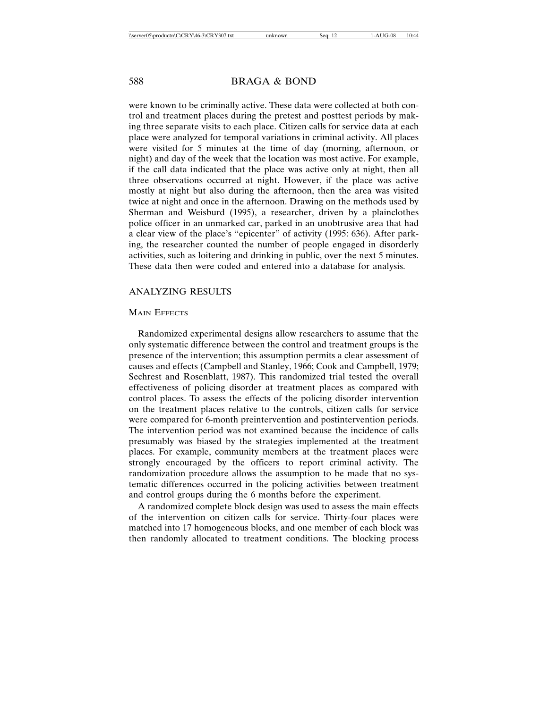were known to be criminally active. These data were collected at both control and treatment places during the pretest and posttest periods by making three separate visits to each place. Citizen calls for service data at each place were analyzed for temporal variations in criminal activity. All places were visited for 5 minutes at the time of day (morning, afternoon, or night) and day of the week that the location was most active. For example, if the call data indicated that the place was active only at night, then all three observations occurred at night. However, if the place was active mostly at night but also during the afternoon, then the area was visited twice at night and once in the afternoon. Drawing on the methods used by Sherman and Weisburd (1995), a researcher, driven by a plainclothes police officer in an unmarked car, parked in an unobtrusive area that had a clear view of the place's "epicenter" of activity (1995: 636). After parking, the researcher counted the number of people engaged in disorderly activities, such as loitering and drinking in public, over the next 5 minutes. These data then were coded and entered into a database for analysis.

#### ANALYZING RESULTS

#### MAIN EFFECTS

Randomized experimental designs allow researchers to assume that the only systematic difference between the control and treatment groups is the presence of the intervention; this assumption permits a clear assessment of causes and effects (Campbell and Stanley, 1966; Cook and Campbell, 1979; Sechrest and Rosenblatt, 1987). This randomized trial tested the overall effectiveness of policing disorder at treatment places as compared with control places. To assess the effects of the policing disorder intervention on the treatment places relative to the controls, citizen calls for service were compared for 6-month preintervention and postintervention periods. The intervention period was not examined because the incidence of calls presumably was biased by the strategies implemented at the treatment places. For example, community members at the treatment places were strongly encouraged by the officers to report criminal activity. The randomization procedure allows the assumption to be made that no systematic differences occurred in the policing activities between treatment and control groups during the 6 months before the experiment.

A randomized complete block design was used to assess the main effects of the intervention on citizen calls for service. Thirty-four places were matched into 17 homogeneous blocks, and one member of each block was then randomly allocated to treatment conditions. The blocking process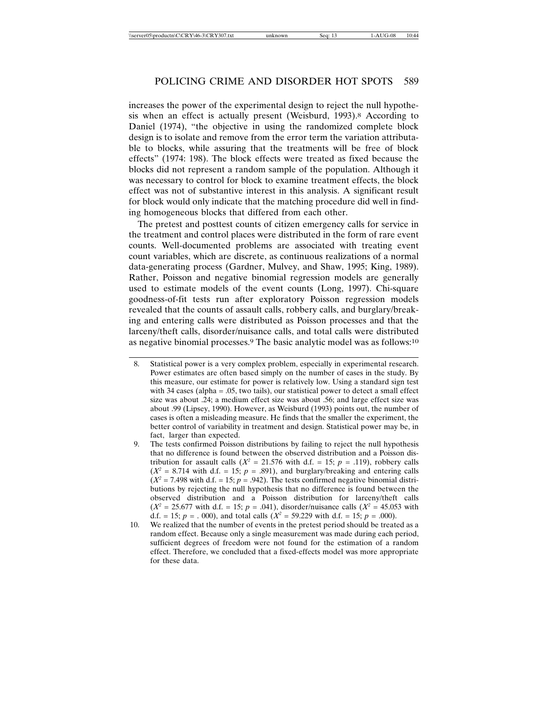increases the power of the experimental design to reject the null hypothesis when an effect is actually present (Weisburd, 1993).8 According to Daniel (1974), "the objective in using the randomized complete block design is to isolate and remove from the error term the variation attributable to blocks, while assuring that the treatments will be free of block effects" (1974: 198). The block effects were treated as fixed because the blocks did not represent a random sample of the population. Although it was necessary to control for block to examine treatment effects, the block effect was not of substantive interest in this analysis. A significant result for block would only indicate that the matching procedure did well in finding homogeneous blocks that differed from each other.

The pretest and posttest counts of citizen emergency calls for service in the treatment and control places were distributed in the form of rare event counts. Well-documented problems are associated with treating event count variables, which are discrete, as continuous realizations of a normal data-generating process (Gardner, Mulvey, and Shaw, 1995; King, 1989). Rather, Poisson and negative binomial regression models are generally used to estimate models of the event counts (Long, 1997). Chi-square goodness-of-fit tests run after exploratory Poisson regression models revealed that the counts of assault calls, robbery calls, and burglary/breaking and entering calls were distributed as Poisson processes and that the larceny/theft calls, disorder/nuisance calls, and total calls were distributed as negative binomial processes.9 The basic analytic model was as follows:10

<sup>8.</sup> Statistical power is a very complex problem, especially in experimental research. Power estimates are often based simply on the number of cases in the study. By this measure, our estimate for power is relatively low. Using a standard sign test with 34 cases (alpha = .05, two tails), our statistical power to detect a small effect size was about .24; a medium effect size was about .56; and large effect size was about .99 (Lipsey, 1990). However, as Weisburd (1993) points out, the number of cases is often a misleading measure. He finds that the smaller the experiment, the better control of variability in treatment and design. Statistical power may be, in fact, larger than expected.

<sup>9.</sup> The tests confirmed Poisson distributions by failing to reject the null hypothesis that no difference is found between the observed distribution and a Poisson distribution for assault calls  $(X^2 = 21.576$  with d.f. = 15;  $p = .119$ ), robbery calls  $(X^2 = 8.714$  with d.f. = 15;  $p = .891$ ), and burglary/breaking and entering calls  $(X^2 = 7.498$  with d.f. = 15;  $p = .942$ ). The tests confirmed negative binomial distributions by rejecting the null hypothesis that no difference is found between the observed distribution and a Poisson distribution for larceny/theft calls  $(X^2 = 25.677$  with d.f. = 15;  $p = .041$ ), disorder/nuisance calls  $(X^2 = 45.053$  with d.f. = 15;  $p = 0.000$ , and total calls  $(X^2 = 59.229 \text{ with d.f.} = 15; p = 0.000)$ .

<sup>10.</sup> We realized that the number of events in the pretest period should be treated as a random effect. Because only a single measurement was made during each period, sufficient degrees of freedom were not found for the estimation of a random effect. Therefore, we concluded that a fixed-effects model was more appropriate for these data.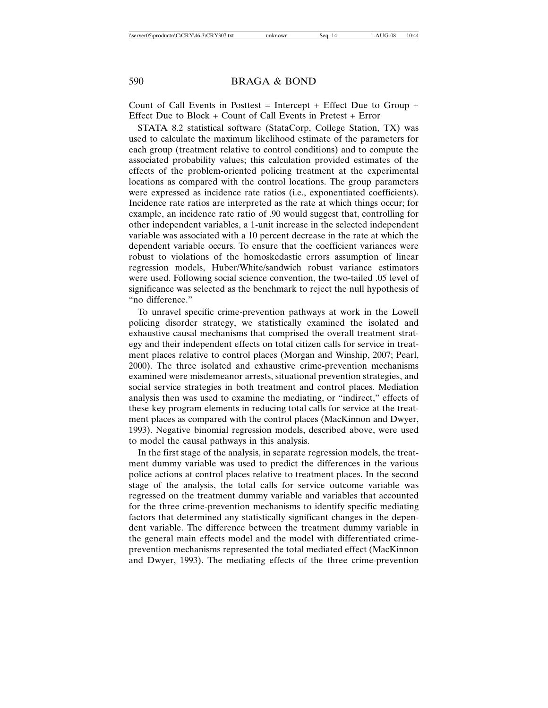Count of Call Events in Posttest = Intercept + Effect Due to Group + Effect Due to Block + Count of Call Events in Pretest + Error

STATA 8.2 statistical software (StataCorp, College Station, TX) was used to calculate the maximum likelihood estimate of the parameters for each group (treatment relative to control conditions) and to compute the associated probability values; this calculation provided estimates of the effects of the problem-oriented policing treatment at the experimental locations as compared with the control locations. The group parameters were expressed as incidence rate ratios (i.e., exponentiated coefficients). Incidence rate ratios are interpreted as the rate at which things occur; for example, an incidence rate ratio of .90 would suggest that, controlling for other independent variables, a 1-unit increase in the selected independent variable was associated with a 10 percent decrease in the rate at which the dependent variable occurs. To ensure that the coefficient variances were robust to violations of the homoskedastic errors assumption of linear regression models, Huber/White/sandwich robust variance estimators were used. Following social science convention, the two-tailed .05 level of significance was selected as the benchmark to reject the null hypothesis of "no difference."

To unravel specific crime-prevention pathways at work in the Lowell policing disorder strategy, we statistically examined the isolated and exhaustive causal mechanisms that comprised the overall treatment strategy and their independent effects on total citizen calls for service in treatment places relative to control places (Morgan and Winship, 2007; Pearl, 2000). The three isolated and exhaustive crime-prevention mechanisms examined were misdemeanor arrests, situational prevention strategies, and social service strategies in both treatment and control places. Mediation analysis then was used to examine the mediating, or "indirect," effects of these key program elements in reducing total calls for service at the treatment places as compared with the control places (MacKinnon and Dwyer, 1993). Negative binomial regression models, described above, were used to model the causal pathways in this analysis.

In the first stage of the analysis, in separate regression models, the treatment dummy variable was used to predict the differences in the various police actions at control places relative to treatment places. In the second stage of the analysis, the total calls for service outcome variable was regressed on the treatment dummy variable and variables that accounted for the three crime-prevention mechanisms to identify specific mediating factors that determined any statistically significant changes in the dependent variable. The difference between the treatment dummy variable in the general main effects model and the model with differentiated crimeprevention mechanisms represented the total mediated effect (MacKinnon and Dwyer, 1993). The mediating effects of the three crime-prevention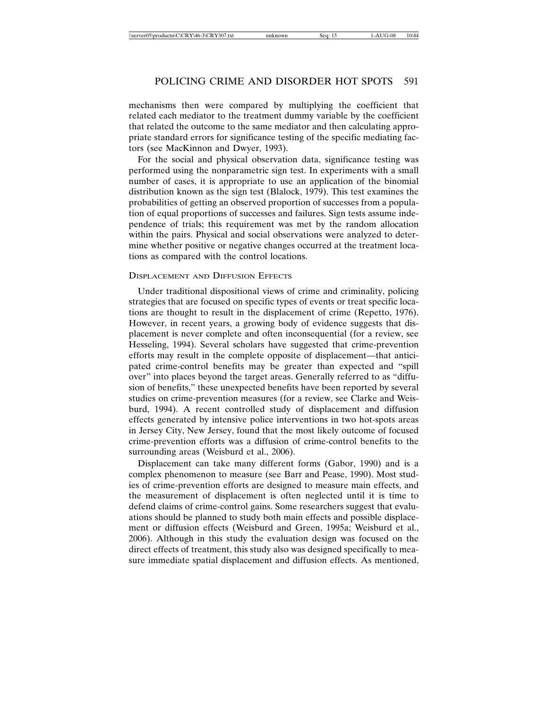mechanisms then were compared by multiplying the coefficient that related each mediator to the treatment dummy variable by the coefficient that related the outcome to the same mediator and then calculating appropriate standard errors for significance testing of the specific mediating factors (see MacKinnon and Dwyer, 1993).

For the social and physical observation data, significance testing was performed using the nonparametric sign test. In experiments with a small number of cases, it is appropriate to use an application of the binomial distribution known as the sign test (Blalock, 1979). This test examines the probabilities of getting an observed proportion of successes from a population of equal proportions of successes and failures. Sign tests assume independence of trials; this requirement was met by the random allocation within the pairs. Physical and social observations were analyzed to determine whether positive or negative changes occurred at the treatment locations as compared with the control locations.

## DISPLACEMENT AND DIFFUSION EFFECTS

Under traditional dispositional views of crime and criminality, policing strategies that are focused on specific types of events or treat specific locations are thought to result in the displacement of crime (Repetto, 1976). However, in recent years, a growing body of evidence suggests that displacement is never complete and often inconsequential (for a review, see Hesseling, 1994). Several scholars have suggested that crime-prevention efforts may result in the complete opposite of displacement—that anticipated crime-control benefits may be greater than expected and "spill over" into places beyond the target areas. Generally referred to as "diffusion of benefits," these unexpected benefits have been reported by several studies on crime-prevention measures (for a review, see Clarke and Weisburd, 1994). A recent controlled study of displacement and diffusion effects generated by intensive police interventions in two hot-spots areas in Jersey City, New Jersey, found that the most likely outcome of focused crime-prevention efforts was a diffusion of crime-control benefits to the surrounding areas (Weisburd et al., 2006).

Displacement can take many different forms (Gabor, 1990) and is a complex phenomenon to measure (see Barr and Pease, 1990). Most studies of crime-prevention efforts are designed to measure main effects, and the measurement of displacement is often neglected until it is time to defend claims of crime-control gains. Some researchers suggest that evaluations should be planned to study both main effects and possible displacement or diffusion effects (Weisburd and Green, 1995a; Weisburd et al., 2006). Although in this study the evaluation design was focused on the direct effects of treatment, this study also was designed specifically to measure immediate spatial displacement and diffusion effects. As mentioned,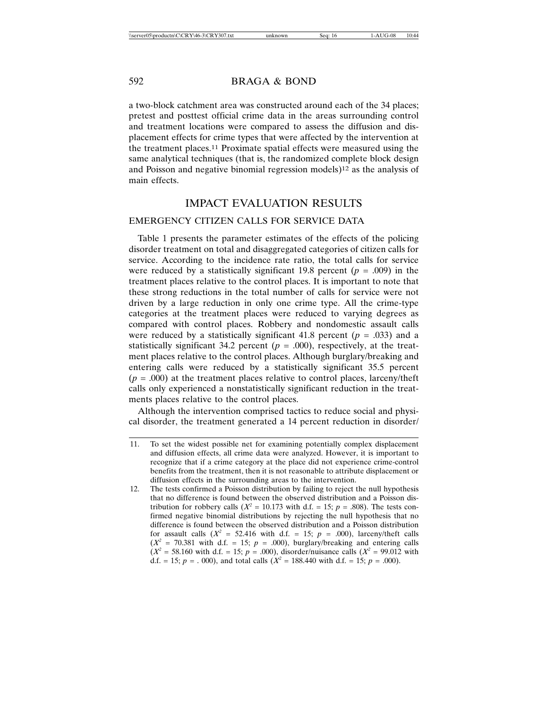a two-block catchment area was constructed around each of the 34 places; pretest and posttest official crime data in the areas surrounding control and treatment locations were compared to assess the diffusion and displacement effects for crime types that were affected by the intervention at the treatment places.11 Proximate spatial effects were measured using the same analytical techniques (that is, the randomized complete block design and Poisson and negative binomial regression models)12 as the analysis of main effects.

# IMPACT EVALUATION RESULTS

# EMERGENCY CITIZEN CALLS FOR SERVICE DATA

Table 1 presents the parameter estimates of the effects of the policing disorder treatment on total and disaggregated categories of citizen calls for service. According to the incidence rate ratio, the total calls for service were reduced by a statistically significant 19.8 percent ( $p = .009$ ) in the treatment places relative to the control places. It is important to note that these strong reductions in the total number of calls for service were not driven by a large reduction in only one crime type. All the crime-type categories at the treatment places were reduced to varying degrees as compared with control places. Robbery and nondomestic assault calls were reduced by a statistically significant 41.8 percent  $(p = .033)$  and a statistically significant 34.2 percent  $(p = .000)$ , respectively, at the treatment places relative to the control places. Although burglary/breaking and entering calls were reduced by a statistically significant 35.5 percent  $(p = .000)$  at the treatment places relative to control places, larceny/theft calls only experienced a nonstatistically significant reduction in the treatments places relative to the control places.

Although the intervention comprised tactics to reduce social and physical disorder, the treatment generated a 14 percent reduction in disorder/

<sup>11.</sup> To set the widest possible net for examining potentially complex displacement and diffusion effects, all crime data were analyzed. However, it is important to recognize that if a crime category at the place did not experience crime-control benefits from the treatment, then it is not reasonable to attribute displacement or diffusion effects in the surrounding areas to the intervention.

<sup>12.</sup> The tests confirmed a Poisson distribution by failing to reject the null hypothesis that no difference is found between the observed distribution and a Poisson distribution for robbery calls  $(X^2 = 10.173$  with d.f. = 15;  $p = .808$ ). The tests confirmed negative binomial distributions by rejecting the null hypothesis that no difference is found between the observed distribution and a Poisson distribution for assault calls  $(X^2 = 52.416$  with d.f. = 15;  $p = .000$ ), larceny/theft calls  $(X^2 = 70.381$  with d.f. = 15;  $p = .000$ ), burglary/breaking and entering calls  $(X^2 = 58.160 \text{ with d.f.} = 15; p = .000)$ , disorder/nuisance calls  $(X^2 = 99.012 \text{ with }$ d.f. = 15;  $p = 0.000$ , and total calls ( $X^2 = 188.440$  with d.f. = 15;  $p = 0.000$ ).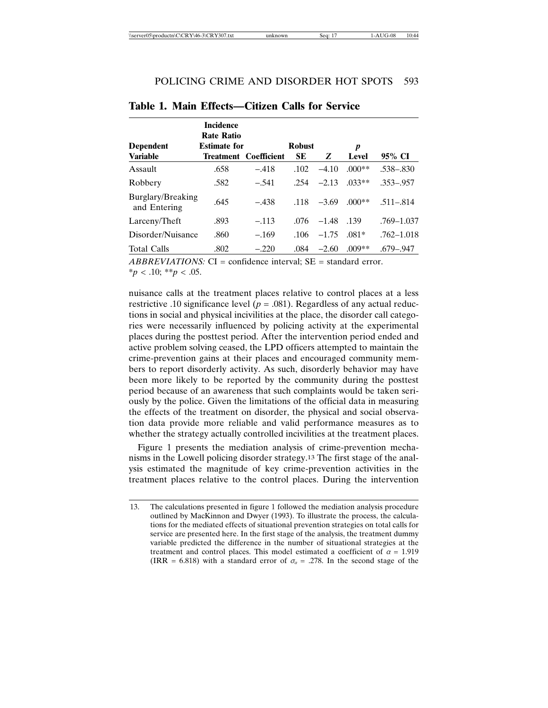|                                   | <b>Incidence</b><br><b>Rate Ratio</b> |                              |               |         |          |                |
|-----------------------------------|---------------------------------------|------------------------------|---------------|---------|----------|----------------|
| <b>Dependent</b>                  | <b>Estimate for</b>                   |                              | <b>Robust</b> |         | p        |                |
| Variable                          |                                       | <b>Treatment Coefficient</b> | SE            | Z       | Level    | 95% CI         |
| Assault                           | .658                                  | $-.418$                      | .102          | $-4.10$ | $.000**$ | $.538 - .830$  |
| Robbery                           | .582                                  | $-.541$                      | .254          | $-2.13$ | $.033**$ | $.353 - .957$  |
| Burglary/Breaking<br>and Entering | .645                                  | $-.438$                      | .118          | $-3.69$ | $.000**$ | $.511 - .814$  |
| Larceny/Theft                     | .893                                  | $-.113$                      | .076          | $-1.48$ | .139     | .769–1.037     |
| Disorder/Nuisance                 | .860                                  | $-.169$                      | .106          | $-1.75$ | $.081*$  | $.762 - 1.018$ |
| Total Calls                       | .802                                  | $-.220$                      | .084          | $-2.60$ | $.009**$ | .679–.947      |

## **Table 1. Main Effects—Citizen Calls for Service**

*ABBREVIATIONS:* CI = confidence interval; SE = standard error.

\**p* < .10; \*\**p* < .05.

nuisance calls at the treatment places relative to control places at a less restrictive .10 significance level ( $p = .081$ ). Regardless of any actual reductions in social and physical incivilities at the place, the disorder call categories were necessarily influenced by policing activity at the experimental places during the posttest period. After the intervention period ended and active problem solving ceased, the LPD officers attempted to maintain the crime-prevention gains at their places and encouraged community members to report disorderly activity. As such, disorderly behavior may have been more likely to be reported by the community during the posttest period because of an awareness that such complaints would be taken seriously by the police. Given the limitations of the official data in measuring the effects of the treatment on disorder, the physical and social observation data provide more reliable and valid performance measures as to whether the strategy actually controlled incivilities at the treatment places.

Figure 1 presents the mediation analysis of crime-prevention mechanisms in the Lowell policing disorder strategy.13 The first stage of the analysis estimated the magnitude of key crime-prevention activities in the treatment places relative to the control places. During the intervention

<sup>13.</sup> The calculations presented in figure 1 followed the mediation analysis procedure outlined by MacKinnon and Dwyer (1993). To illustrate the process, the calculations for the mediated effects of situational prevention strategies on total calls for service are presented here. In the first stage of the analysis, the treatment dummy variable predicted the difference in the number of situational strategies at the treatment and control places. This model estimated a coefficient of  $\alpha = 1.919$ (IRR = 6.818) with a standard error of  $\sigma_{\alpha}$  = .278. In the second stage of the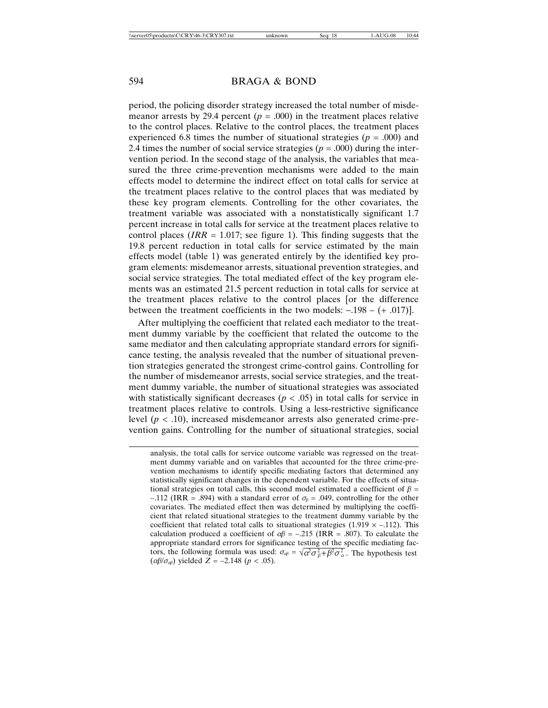period, the policing disorder strategy increased the total number of misdemeanor arrests by 29.4 percent ( $p = .000$ ) in the treatment places relative to the control places. Relative to the control places, the treatment places experienced 6.8 times the number of situational strategies  $(p = .000)$  and 2.4 times the number of social service strategies ( $p = .000$ ) during the intervention period. In the second stage of the analysis, the variables that measured the three crime-prevention mechanisms were added to the main effects model to determine the indirect effect on total calls for service at the treatment places relative to the control places that was mediated by these key program elements. Controlling for the other covariates, the treatment variable was associated with a nonstatistically significant 1.7 percent increase in total calls for service at the treatment places relative to control places ( $IRR = 1.017$ ; see figure 1). This finding suggests that the 19.8 percent reduction in total calls for service estimated by the main effects model (table 1) was generated entirely by the identified key program elements: misdemeanor arrests, situational prevention strategies, and social service strategies. The total mediated effect of the key program elements was an estimated 21.5 percent reduction in total calls for service at the treatment places relative to the control places [or the difference between the treatment coefficients in the two models: −.198 – (+ .017)].

After multiplying the coefficient that related each mediator to the treatment dummy variable by the coefficient that related the outcome to the same mediator and then calculating appropriate standard errors for significance testing, the analysis revealed that the number of situational prevention strategies generated the strongest crime-control gains. Controlling for the number of misdemeanor arrests, social service strategies, and the treatment dummy variable, the number of situational strategies was associated with statistically significant decreases ( $p < .05$ ) in total calls for service in treatment places relative to controls. Using a less-restrictive significance level  $(p < .10)$ , increased misdemeanor arrests also generated crime-prevention gains. Controlling for the number of situational strategies, social

analysis, the total calls for service outcome variable was regressed on the treatment dummy variable and on variables that accounted for the three crime-prevention mechanisms to identify specific mediating factors that determined any statistically significant changes in the dependent variable. For the effects of situational strategies on total calls, this second model estimated a coefficient of  $\beta =$ –.112 (IRR = .894) with a standard error of  $\sigma_{\beta} = .049$ , controlling for the other covariates. The mediated effect then was determined by multiplying the coefficient that related situational strategies to the treatment dummy variable by the coefficient that related total calls to situational strategies  $(1.919 \times -112)$ . This calculation produced a coefficient of  $\alpha\beta$  = -.215 (IRR = .807). To calculate the appropriate standard errors for significance testing of the specific mediating factors, the following formula was used:  $\sigma_{\alpha\beta} = \sqrt{\alpha^2 \sigma_{\beta}^2 + \beta^2 \sigma_{\alpha}^2}$ . The hypothesis test  $(\alpha\beta/\sigma_{\alpha\beta})$  yielded *Z* = -2.148 (*p* < .05).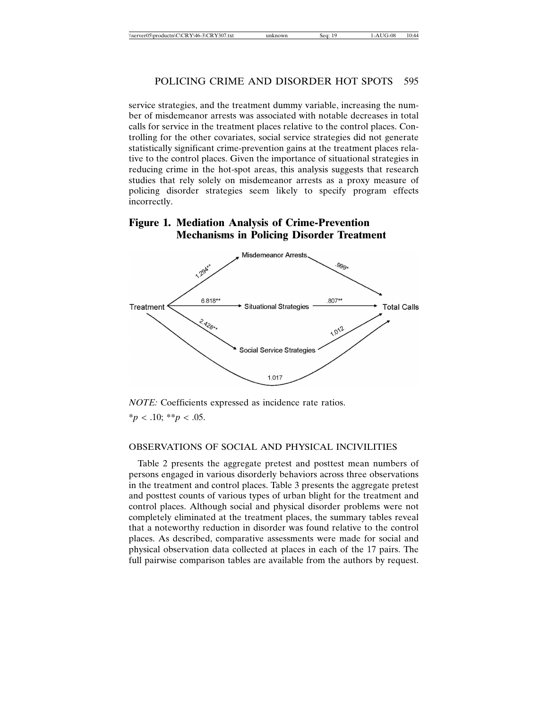service strategies, and the treatment dummy variable, increasing the number of misdemeanor arrests was associated with notable decreases in total calls for service in the treatment places relative to the control places. Controlling for the other covariates, social service strategies did not generate statistically significant crime-prevention gains at the treatment places relative to the control places. Given the importance of situational strategies in reducing crime in the hot-spot areas, this analysis suggests that research studies that rely solely on misdemeanor arrests as a proxy measure of policing disorder strategies seem likely to specify program effects incorrectly.

# **Figure 1. Mediation Analysis of Crime-Prevention Mechanisms in Policing Disorder Treatment**



*NOTE:* Coefficients expressed as incidence rate ratios.

 $**p* < .10; ***p* < .05.$ 

## OBSERVATIONS OF SOCIAL AND PHYSICAL INCIVILITIES

Table 2 presents the aggregate pretest and posttest mean numbers of persons engaged in various disorderly behaviors across three observations in the treatment and control places. Table 3 presents the aggregate pretest and posttest counts of various types of urban blight for the treatment and control places. Although social and physical disorder problems were not completely eliminated at the treatment places, the summary tables reveal that a noteworthy reduction in disorder was found relative to the control places. As described, comparative assessments were made for social and physical observation data collected at places in each of the 17 pairs. The full pairwise comparison tables are available from the authors by request.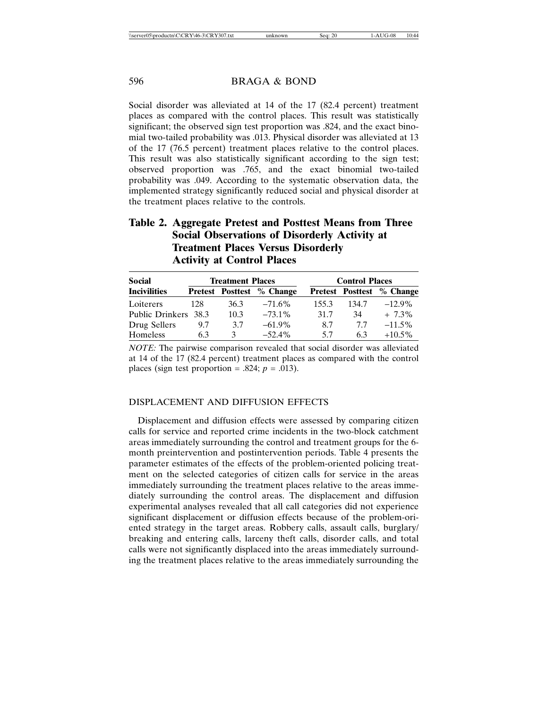Social disorder was alleviated at 14 of the 17 (82.4 percent) treatment places as compared with the control places. This result was statistically significant; the observed sign test proportion was .824, and the exact binomial two-tailed probability was .013. Physical disorder was alleviated at 13 of the 17 (76.5 percent) treatment places relative to the control places. This result was also statistically significant according to the sign test; observed proportion was .765, and the exact binomial two-tailed probability was .049. According to the systematic observation data, the implemented strategy significantly reduced social and physical disorder at the treatment places relative to the controls.

# **Table 2. Aggregate Pretest and Posttest Means from Three Social Observations of Disorderly Activity at Treatment Places Versus Disorderly Activity at Control Places**

| <b>Social</b>        |     | <b>Treatment Places</b> |                           | <b>Control Places</b> |       |                           |  |
|----------------------|-----|-------------------------|---------------------------|-----------------------|-------|---------------------------|--|
| <b>Incivilities</b>  |     |                         | Pretest Posttest % Change |                       |       | Pretest Posttest % Change |  |
| Loiterers            | 128 | 36.3                    | $-71.6\%$                 | 155.3                 | 134.7 | $-12.9\%$                 |  |
| Public Drinkers 38.3 |     | 10.3                    | $-73.1\%$                 | 31.7                  | 34    | $+ 7.3\%$                 |  |
| Drug Sellers         | 9.7 | 3.7                     | $-61.9\%$                 | 8.7                   | 77    | $-11.5\%$                 |  |
| <b>Homeless</b>      | 6.3 | 3                       | $-52.4\%$                 | 57                    | 6.3   | $+10.5\%$                 |  |

*NOTE:* The pairwise comparison revealed that social disorder was alleviated at 14 of the 17 (82.4 percent) treatment places as compared with the control places (sign test proportion = .824;  $p = .013$ ).

## DISPLACEMENT AND DIFFUSION EFFECTS

Displacement and diffusion effects were assessed by comparing citizen calls for service and reported crime incidents in the two-block catchment areas immediately surrounding the control and treatment groups for the 6 month preintervention and postintervention periods. Table 4 presents the parameter estimates of the effects of the problem-oriented policing treatment on the selected categories of citizen calls for service in the areas immediately surrounding the treatment places relative to the areas immediately surrounding the control areas. The displacement and diffusion experimental analyses revealed that all call categories did not experience significant displacement or diffusion effects because of the problem-oriented strategy in the target areas. Robbery calls, assault calls, burglary/ breaking and entering calls, larceny theft calls, disorder calls, and total calls were not significantly displaced into the areas immediately surrounding the treatment places relative to the areas immediately surrounding the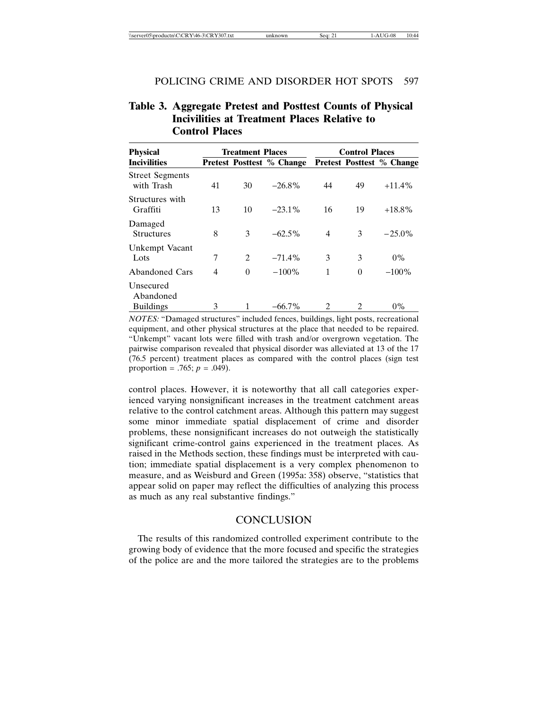# **Table 3. Aggregate Pretest and Posttest Counts of Physical Incivilities at Treatment Places Relative to Control Places**

| <b>Physical</b>                      |    | <b>Treatment Places</b> |                                  | <b>Control Places</b> |          |                                  |  |
|--------------------------------------|----|-------------------------|----------------------------------|-----------------------|----------|----------------------------------|--|
| <b>Incivilities</b>                  |    |                         | <b>Pretest Posttest % Change</b> |                       |          | <b>Pretest Posttest % Change</b> |  |
| <b>Street Segments</b><br>with Trash | 41 | 30                      | $-26.8\%$                        | 44                    | 49       | $+11.4\%$                        |  |
| Structures with<br>Graffiti          | 13 | 10                      | $-23.1\%$                        | 16                    | 19       | $+18.8\%$                        |  |
| Damaged<br><b>Structures</b>         | 8  | 3                       | $-62.5\%$                        | 4                     | 3        | $-25.0\%$                        |  |
| Unkempt Vacant<br>Lots               | 7  | 2                       | $-71.4\%$                        | 3                     | 3        | $0\%$                            |  |
| Abandoned Cars                       | 4  | $\Omega$                | $-100\%$                         | 1                     | $\Omega$ | $-100\%$                         |  |
| Unsecured<br>Abandoned               |    |                         |                                  |                       |          |                                  |  |
| <b>Buildings</b>                     | 3  |                         | $-66.7\%$                        | 2                     | 2        | $0\%$                            |  |

*NOTES:* "Damaged structures" included fences, buildings, light posts, recreational equipment, and other physical structures at the place that needed to be repaired. "Unkempt" vacant lots were filled with trash and/or overgrown vegetation. The pairwise comparison revealed that physical disorder was alleviated at 13 of the 17 (76.5 percent) treatment places as compared with the control places (sign test proportion = .765;  $p = .049$ ).

control places. However, it is noteworthy that all call categories experienced varying nonsignificant increases in the treatment catchment areas relative to the control catchment areas. Although this pattern may suggest some minor immediate spatial displacement of crime and disorder problems, these nonsignificant increases do not outweigh the statistically significant crime-control gains experienced in the treatment places. As raised in the Methods section, these findings must be interpreted with caution; immediate spatial displacement is a very complex phenomenon to measure, and as Weisburd and Green (1995a: 358) observe, "statistics that appear solid on paper may reflect the difficulties of analyzing this process as much as any real substantive findings."

# **CONCLUSION**

The results of this randomized controlled experiment contribute to the growing body of evidence that the more focused and specific the strategies of the police are and the more tailored the strategies are to the problems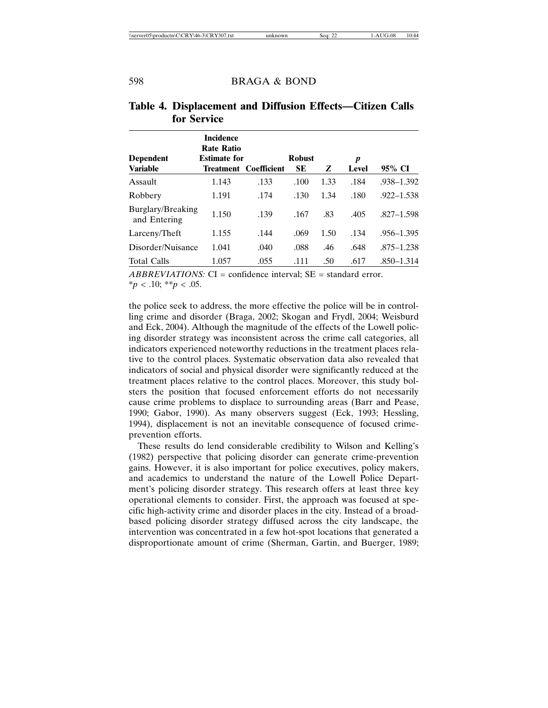| <b>Dependent</b>                  | <b>Incidence</b><br><b>Rate Ratio</b><br><b>Estimate for</b> | <b>Robust</b>                |      |      |                   |                |
|-----------------------------------|--------------------------------------------------------------|------------------------------|------|------|-------------------|----------------|
| <b>Variable</b>                   |                                                              | <b>Treatment Coefficient</b> | SЕ   | Z    | p<br><b>Level</b> | 95% CI         |
| Assault                           | 1.143                                                        | .133                         | .100 | 1.33 | .184              | .938–1.392     |
| Robbery                           | 1.191                                                        | .174                         | .130 | 1.34 | .180              | $.922 - 1.538$ |
| Burglary/Breaking<br>and Entering | 1.150                                                        | .139                         | .167 | .83  | .405              | $.827 - 1.598$ |
| Larceny/Theft                     | 1.155                                                        | .144                         | .069 | 1.50 | .134              | .956–1.395     |
| Disorder/Nuisance                 | 1.041                                                        | .040                         | .088 | .46  | .648              | $.875 - 1.238$ |
| <b>Total Calls</b>                | 1.057                                                        | .055                         | .111 | .50  | .617              | $.850 - 1.314$ |

# **Table 4. Displacement and Diffusion Effects—Citizen Calls for Service**

*ABBREVIATIONS:* CI = confidence interval; SE = standard error. \**p* < .10; \*\**p* < .05.

the police seek to address, the more effective the police will be in controlling crime and disorder (Braga, 2002; Skogan and Frydl, 2004; Weisburd and Eck, 2004). Although the magnitude of the effects of the Lowell policing disorder strategy was inconsistent across the crime call categories, all indicators experienced noteworthy reductions in the treatment places relative to the control places. Systematic observation data also revealed that indicators of social and physical disorder were significantly reduced at the treatment places relative to the control places. Moreover, this study bolsters the position that focused enforcement efforts do not necessarily cause crime problems to displace to surrounding areas (Barr and Pease, 1990; Gabor, 1990). As many observers suggest (Eck, 1993; Hessling, 1994), displacement is not an inevitable consequence of focused crimeprevention efforts.

These results do lend considerable credibility to Wilson and Kelling's (1982) perspective that policing disorder can generate crime-prevention gains. However, it is also important for police executives, policy makers, and academics to understand the nature of the Lowell Police Department's policing disorder strategy. This research offers at least three key operational elements to consider. First, the approach was focused at specific high-activity crime and disorder places in the city. Instead of a broadbased policing disorder strategy diffused across the city landscape, the intervention was concentrated in a few hot-spot locations that generated a disproportionate amount of crime (Sherman, Gartin, and Buerger, 1989;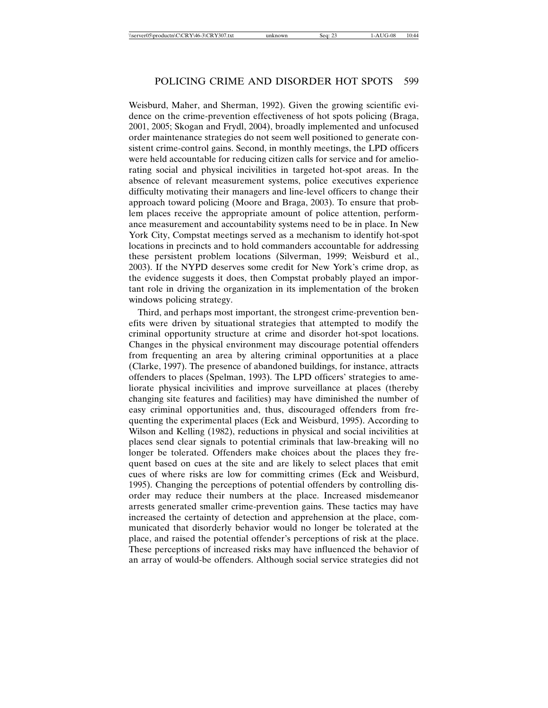Weisburd, Maher, and Sherman, 1992). Given the growing scientific evidence on the crime-prevention effectiveness of hot spots policing (Braga, 2001, 2005; Skogan and Frydl, 2004), broadly implemented and unfocused order maintenance strategies do not seem well positioned to generate consistent crime-control gains. Second, in monthly meetings, the LPD officers were held accountable for reducing citizen calls for service and for ameliorating social and physical incivilities in targeted hot-spot areas. In the absence of relevant measurement systems, police executives experience difficulty motivating their managers and line-level officers to change their approach toward policing (Moore and Braga, 2003). To ensure that problem places receive the appropriate amount of police attention, performance measurement and accountability systems need to be in place. In New York City, Compstat meetings served as a mechanism to identify hot-spot locations in precincts and to hold commanders accountable for addressing these persistent problem locations (Silverman, 1999; Weisburd et al., 2003). If the NYPD deserves some credit for New York's crime drop, as the evidence suggests it does, then Compstat probably played an important role in driving the organization in its implementation of the broken windows policing strategy.

Third, and perhaps most important, the strongest crime-prevention benefits were driven by situational strategies that attempted to modify the criminal opportunity structure at crime and disorder hot-spot locations. Changes in the physical environment may discourage potential offenders from frequenting an area by altering criminal opportunities at a place (Clarke, 1997). The presence of abandoned buildings, for instance, attracts offenders to places (Spelman, 1993). The LPD officers' strategies to ameliorate physical incivilities and improve surveillance at places (thereby changing site features and facilities) may have diminished the number of easy criminal opportunities and, thus, discouraged offenders from frequenting the experimental places (Eck and Weisburd, 1995). According to Wilson and Kelling (1982), reductions in physical and social incivilities at places send clear signals to potential criminals that law-breaking will no longer be tolerated. Offenders make choices about the places they frequent based on cues at the site and are likely to select places that emit cues of where risks are low for committing crimes (Eck and Weisburd, 1995). Changing the perceptions of potential offenders by controlling disorder may reduce their numbers at the place. Increased misdemeanor arrests generated smaller crime-prevention gains. These tactics may have increased the certainty of detection and apprehension at the place, communicated that disorderly behavior would no longer be tolerated at the place, and raised the potential offender's perceptions of risk at the place. These perceptions of increased risks may have influenced the behavior of an array of would-be offenders. Although social service strategies did not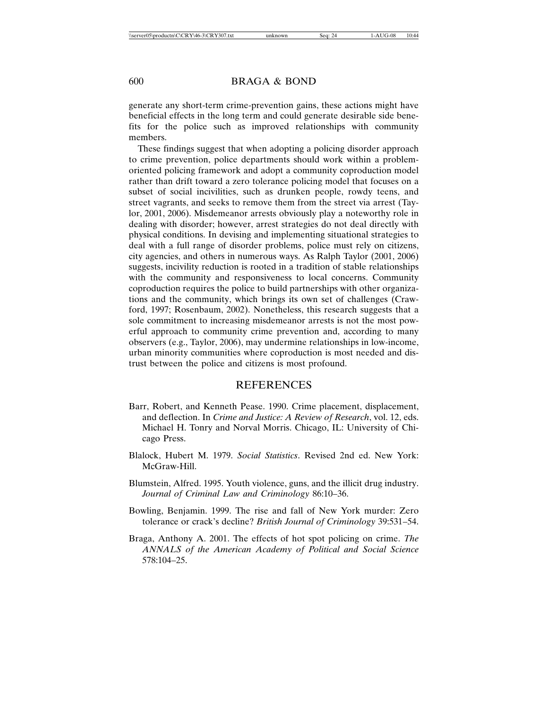generate any short-term crime-prevention gains, these actions might have beneficial effects in the long term and could generate desirable side benefits for the police such as improved relationships with community members.

These findings suggest that when adopting a policing disorder approach to crime prevention, police departments should work within a problemoriented policing framework and adopt a community coproduction model rather than drift toward a zero tolerance policing model that focuses on a subset of social incivilities, such as drunken people, rowdy teens, and street vagrants, and seeks to remove them from the street via arrest (Taylor, 2001, 2006). Misdemeanor arrests obviously play a noteworthy role in dealing with disorder; however, arrest strategies do not deal directly with physical conditions. In devising and implementing situational strategies to deal with a full range of disorder problems, police must rely on citizens, city agencies, and others in numerous ways. As Ralph Taylor (2001, 2006) suggests, incivility reduction is rooted in a tradition of stable relationships with the community and responsiveness to local concerns. Community coproduction requires the police to build partnerships with other organizations and the community, which brings its own set of challenges (Crawford, 1997; Rosenbaum, 2002). Nonetheless, this research suggests that a sole commitment to increasing misdemeanor arrests is not the most powerful approach to community crime prevention and, according to many observers (e.g., Taylor, 2006), may undermine relationships in low-income, urban minority communities where coproduction is most needed and distrust between the police and citizens is most profound.

# REFERENCES

- Barr, Robert, and Kenneth Pease. 1990. Crime placement, displacement, and deflection. In *Crime and Justice: A Review of Research*, vol. 12, eds. Michael H. Tonry and Norval Morris. Chicago, IL: University of Chicago Press.
- Blalock, Hubert M. 1979. *Social Statistics*. Revised 2nd ed. New York: McGraw-Hill.
- Blumstein, Alfred. 1995. Youth violence, guns, and the illicit drug industry. *Journal of Criminal Law and Criminology* 86:10–36.
- Bowling, Benjamin. 1999. The rise and fall of New York murder: Zero tolerance or crack's decline? *British Journal of Criminology* 39:531–54.
- Braga, Anthony A. 2001. The effects of hot spot policing on crime. *The ANNALS of the American Academy of Political and Social Science* 578:104–25.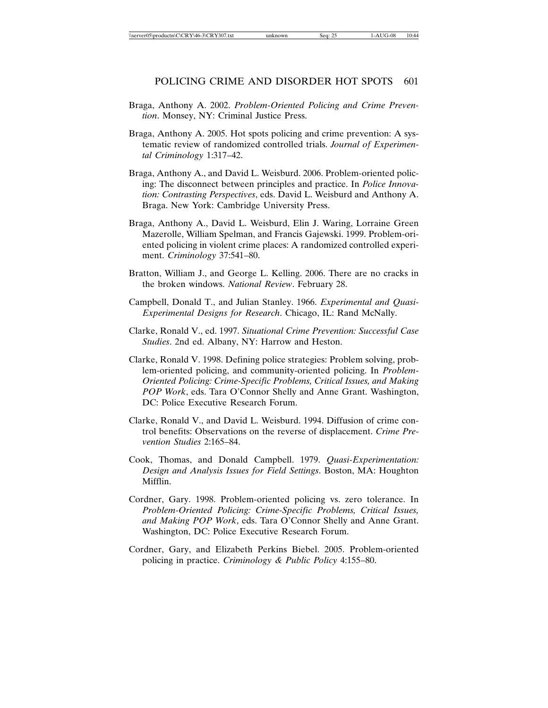- Braga, Anthony A. 2002. *Problem-Oriented Policing and Crime Prevention*. Monsey, NY: Criminal Justice Press.
- Braga, Anthony A. 2005. Hot spots policing and crime prevention: A systematic review of randomized controlled trials. *Journal of Experimental Criminology* 1:317–42.
- Braga, Anthony A., and David L. Weisburd. 2006. Problem-oriented policing: The disconnect between principles and practice. In *Police Innovation: Contrasting Perspectives*, eds. David L. Weisburd and Anthony A. Braga. New York: Cambridge University Press.
- Braga, Anthony A., David L. Weisburd, Elin J. Waring, Lorraine Green Mazerolle, William Spelman, and Francis Gajewski. 1999. Problem-oriented policing in violent crime places: A randomized controlled experiment. *Criminology* 37:541–80.
- Bratton, William J., and George L. Kelling. 2006. There are no cracks in the broken windows. *National Review*. February 28.
- Campbell, Donald T., and Julian Stanley. 1966. *Experimental and Quasi-Experimental Designs for Research*. Chicago, IL: Rand McNally.
- Clarke, Ronald V., ed. 1997. *Situational Crime Prevention: Successful Case Studies*. 2nd ed. Albany, NY: Harrow and Heston.
- Clarke, Ronald V. 1998. Defining police strategies: Problem solving, problem-oriented policing, and community-oriented policing. In *Problem-Oriented Policing: Crime-Specific Problems, Critical Issues, and Making POP Work*, eds. Tara O'Connor Shelly and Anne Grant. Washington, DC: Police Executive Research Forum.
- Clarke, Ronald V., and David L. Weisburd. 1994. Diffusion of crime control benefits: Observations on the reverse of displacement. *Crime Prevention Studies* 2:165–84.
- Cook, Thomas, and Donald Campbell. 1979. *Quasi-Experimentation: Design and Analysis Issues for Field Settings*. Boston, MA: Houghton Mifflin.
- Cordner, Gary. 1998. Problem-oriented policing vs. zero tolerance. In *Problem-Oriented Policing: Crime-Specific Problems, Critical Issues, and Making POP Work*, eds. Tara O'Connor Shelly and Anne Grant. Washington, DC: Police Executive Research Forum.
- Cordner, Gary, and Elizabeth Perkins Biebel. 2005. Problem-oriented policing in practice. *Criminology & Public Policy* 4:155–80.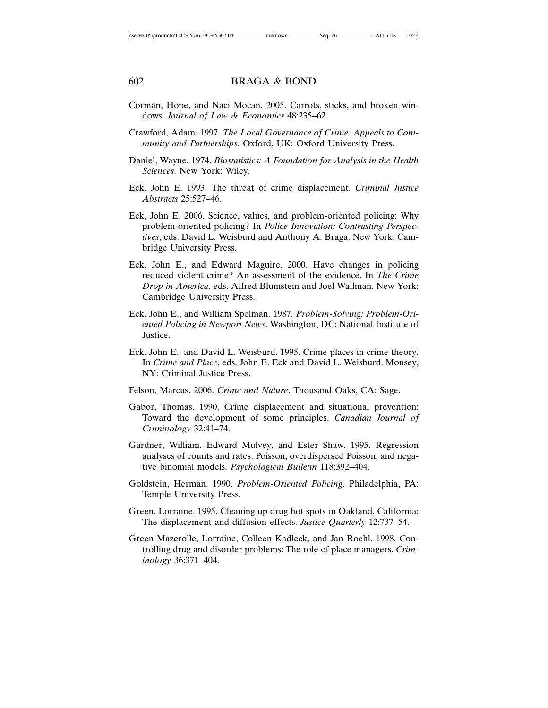- Corman, Hope, and Naci Mocan. 2005. Carrots, sticks, and broken windows. *Journal of Law & Economics* 48:235–62.
- Crawford, Adam. 1997. *The Local Governance of Crime: Appeals to Community and Partnerships*. Oxford, UK: Oxford University Press.
- Daniel, Wayne. 1974. *Biostatistics: A Foundation for Analysis in the Health Sciences*. New York: Wiley.
- Eck, John E. 1993. The threat of crime displacement. *Criminal Justice Abstracts* 25:527–46.
- Eck, John E. 2006. Science, values, and problem-oriented policing: Why problem-oriented policing? In *Police Innovation: Contrasting Perspectives*, eds. David L. Weisburd and Anthony A. Braga. New York: Cambridge University Press.
- Eck, John E., and Edward Maguire. 2000. Have changes in policing reduced violent crime? An assessment of the evidence. In *The Crime Drop in America*, eds. Alfred Blumstein and Joel Wallman. New York: Cambridge University Press.
- Eck, John E., and William Spelman. 1987. *Problem-Solving: Problem-Oriented Policing in Newport News*. Washington, DC: National Institute of Justice.
- Eck, John E., and David L. Weisburd. 1995. Crime places in crime theory. In *Crime and Place*, eds. John E. Eck and David L. Weisburd. Monsey, NY: Criminal Justice Press.
- Felson, Marcus. 2006. *Crime and Nature*. Thousand Oaks, CA: Sage.
- Gabor, Thomas. 1990. Crime displacement and situational prevention: Toward the development of some principles. *Canadian Journal of Criminology* 32:41–74.
- Gardner, William, Edward Mulvey, and Ester Shaw. 1995. Regression analyses of counts and rates: Poisson, overdispersed Poisson, and negative binomial models. *Psychological Bulletin* 118:392–404.
- Goldstein, Herman. 1990. *Problem-Oriented Policing*. Philadelphia, PA: Temple University Press.
- Green, Lorraine. 1995. Cleaning up drug hot spots in Oakland, California: The displacement and diffusion effects. *Justice Quarterly* 12:737–54.
- Green Mazerolle, Lorraine, Colleen Kadleck, and Jan Roehl. 1998. Controlling drug and disorder problems: The role of place managers. *Criminology* 36:371–404.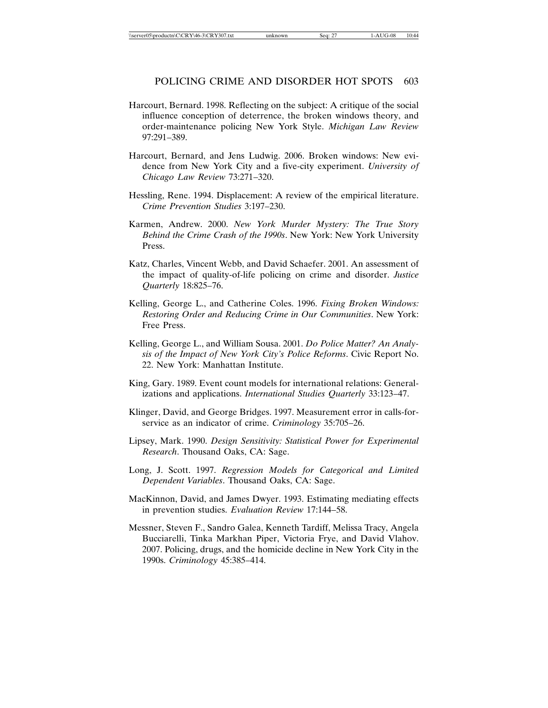- Harcourt, Bernard. 1998. Reflecting on the subject: A critique of the social influence conception of deterrence, the broken windows theory, and order-maintenance policing New York Style. *Michigan Law Review* 97:291–389.
- Harcourt, Bernard, and Jens Ludwig. 2006. Broken windows: New evidence from New York City and a five-city experiment. *University of Chicago Law Review* 73:271–320.
- Hessling, Rene. 1994. Displacement: A review of the empirical literature. *Crime Prevention Studies* 3:197–230.
- Karmen, Andrew. 2000. *New York Murder Mystery: The True Story Behind the Crime Crash of the 1990s*. New York: New York University Press.
- Katz, Charles, Vincent Webb, and David Schaefer. 2001. An assessment of the impact of quality-of-life policing on crime and disorder. *Justice Quarterly* 18:825–76.
- Kelling, George L., and Catherine Coles. 1996. *Fixing Broken Windows: Restoring Order and Reducing Crime in Our Communities*. New York: Free Press.
- Kelling, George L., and William Sousa. 2001. *Do Police Matter? An Analysis of the Impact of New York City's Police Reforms*. Civic Report No. 22. New York: Manhattan Institute.
- King, Gary. 1989. Event count models for international relations: Generalizations and applications. *International Studies Quarterly* 33:123–47.
- Klinger, David, and George Bridges. 1997. Measurement error in calls-forservice as an indicator of crime. *Criminology* 35:705–26.
- Lipsey, Mark. 1990. *Design Sensitivity: Statistical Power for Experimental Research*. Thousand Oaks, CA: Sage.
- Long, J. Scott. 1997. *Regression Models for Categorical and Limited Dependent Variables*. Thousand Oaks, CA: Sage.
- MacKinnon, David, and James Dwyer. 1993. Estimating mediating effects in prevention studies. *Evaluation Review* 17:144–58.
- Messner, Steven F., Sandro Galea, Kenneth Tardiff, Melissa Tracy, Angela Bucciarelli, Tinka Markhan Piper, Victoria Frye, and David Vlahov. 2007. Policing, drugs, and the homicide decline in New York City in the 1990s. *Criminology* 45:385–414.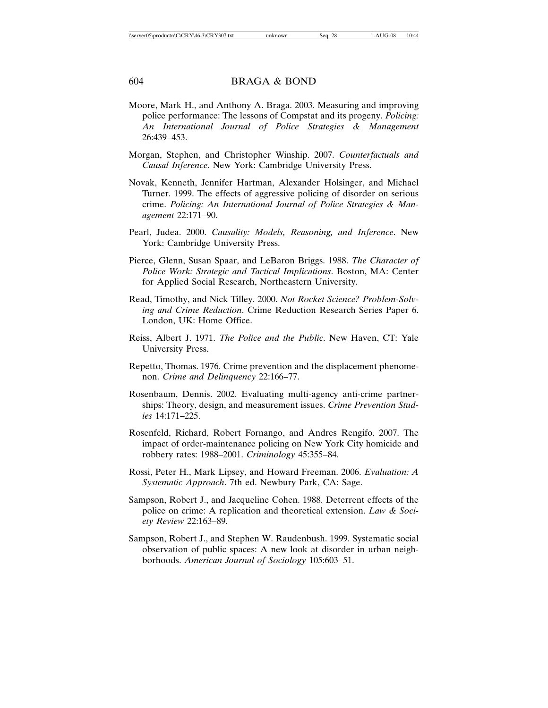- Moore, Mark H., and Anthony A. Braga. 2003. Measuring and improving police performance: The lessons of Compstat and its progeny. *Policing: An International Journal of Police Strategies & Management* 26:439–453.
- Morgan, Stephen, and Christopher Winship. 2007. *Counterfactuals and Causal Inference*. New York: Cambridge University Press.
- Novak, Kenneth, Jennifer Hartman, Alexander Holsinger, and Michael Turner. 1999. The effects of aggressive policing of disorder on serious crime. *Policing: An International Journal of Police Strategies & Management* 22:171–90.
- Pearl, Judea. 2000. *Causality: Models, Reasoning, and Inference*. New York: Cambridge University Press.
- Pierce, Glenn, Susan Spaar, and LeBaron Briggs. 1988. *The Character of Police Work: Strategic and Tactical Implications*. Boston, MA: Center for Applied Social Research, Northeastern University.
- Read, Timothy, and Nick Tilley. 2000. *Not Rocket Science? Problem-Solving and Crime Reduction*. Crime Reduction Research Series Paper 6. London, UK: Home Office.
- Reiss, Albert J. 1971. *The Police and the Public*. New Haven, CT: Yale University Press.
- Repetto, Thomas. 1976. Crime prevention and the displacement phenomenon. *Crime and Delinquency* 22:166–77.
- Rosenbaum, Dennis. 2002. Evaluating multi-agency anti-crime partnerships: Theory, design, and measurement issues. *Crime Prevention Studies* 14:171–225.
- Rosenfeld, Richard, Robert Fornango, and Andres Rengifo. 2007. The impact of order-maintenance policing on New York City homicide and robbery rates: 1988–2001. *Criminology* 45:355–84.
- Rossi, Peter H., Mark Lipsey, and Howard Freeman. 2006. *Evaluation: A Systematic Approach*. 7th ed. Newbury Park, CA: Sage.
- Sampson, Robert J., and Jacqueline Cohen. 1988. Deterrent effects of the police on crime: A replication and theoretical extension. *Law & Society Review* 22:163–89.
- Sampson, Robert J., and Stephen W. Raudenbush. 1999. Systematic social observation of public spaces: A new look at disorder in urban neighborhoods. *American Journal of Sociology* 105:603–51.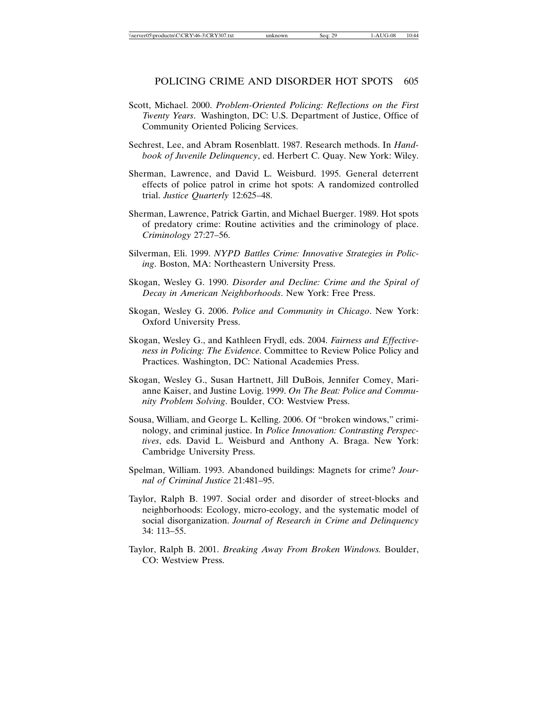- Scott, Michael. 2000. *Problem-Oriented Policing: Reflections on the First Twenty Years*. Washington, DC: U.S. Department of Justice, Office of Community Oriented Policing Services.
- Sechrest, Lee, and Abram Rosenblatt. 1987. Research methods. In *Handbook of Juvenile Delinquency*, ed. Herbert C. Quay. New York: Wiley.
- Sherman, Lawrence, and David L. Weisburd. 1995. General deterrent effects of police patrol in crime hot spots: A randomized controlled trial. *Justice Quarterly* 12:625–48.
- Sherman, Lawrence, Patrick Gartin, and Michael Buerger. 1989. Hot spots of predatory crime: Routine activities and the criminology of place. *Criminology* 27:27–56.
- Silverman, Eli. 1999. *NYPD Battles Crime: Innovative Strategies in Policing*. Boston, MA: Northeastern University Press.
- Skogan, Wesley G. 1990. *Disorder and Decline: Crime and the Spiral of Decay in American Neighborhoods*. New York: Free Press.
- Skogan, Wesley G. 2006. *Police and Community in Chicago*. New York: Oxford University Press.
- Skogan, Wesley G., and Kathleen Frydl, eds. 2004. *Fairness and Effectiveness in Policing: The Evidence*. Committee to Review Police Policy and Practices. Washington, DC: National Academies Press.
- Skogan, Wesley G., Susan Hartnett, Jill DuBois, Jennifer Comey, Marianne Kaiser, and Justine Lovig. 1999. *On The Beat: Police and Community Problem Solving*. Boulder, CO: Westview Press.
- Sousa, William, and George L. Kelling. 2006. Of "broken windows," criminology, and criminal justice. In *Police Innovation: Contrasting Perspectives*, eds. David L. Weisburd and Anthony A. Braga. New York: Cambridge University Press.
- Spelman, William. 1993. Abandoned buildings: Magnets for crime? *Journal of Criminal Justice* 21:481–95.
- Taylor, Ralph B. 1997. Social order and disorder of street-blocks and neighborhoods: Ecology, micro-ecology, and the systematic model of social disorganization. *Journal of Research in Crime and Delinquency* 34: 113–55.
- Taylor, Ralph B. 2001. *Breaking Away From Broken Windows.* Boulder, CO: Westview Press.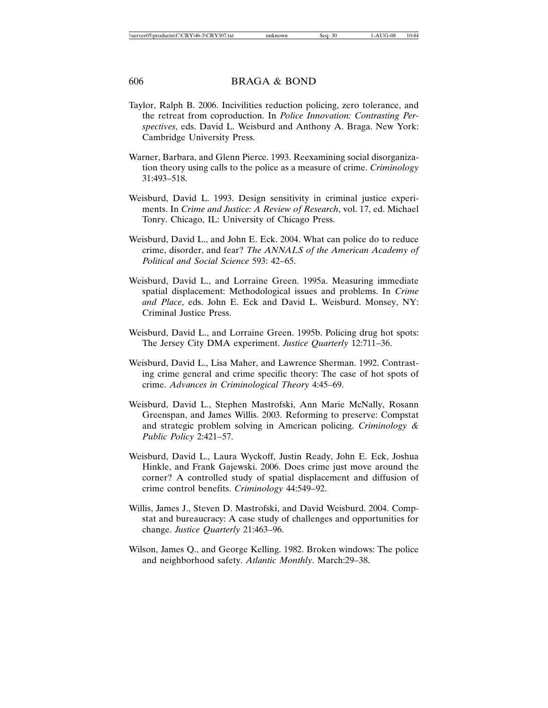- Taylor, Ralph B. 2006. Incivilities reduction policing, zero tolerance, and the retreat from coproduction. In *Police Innovation: Contrasting Perspectives*, eds. David L. Weisburd and Anthony A. Braga. New York: Cambridge University Press.
- Warner, Barbara, and Glenn Pierce. 1993. Reexamining social disorganization theory using calls to the police as a measure of crime. *Criminology* 31:493–518.
- Weisburd, David L. 1993. Design sensitivity in criminal justice experiments. In *Crime and Justice: A Review of Research*, vol. 17, ed. Michael Tonry. Chicago, IL: University of Chicago Press.
- Weisburd, David L., and John E. Eck. 2004. What can police do to reduce crime, disorder, and fear? *The ANNALS of the American Academy of Political and Social Science* 593: 42–65.
- Weisburd, David L., and Lorraine Green. 1995a. Measuring immediate spatial displacement: Methodological issues and problems. In *Crime and Place*, eds. John E. Eck and David L. Weisburd. Monsey, NY: Criminal Justice Press.
- Weisburd, David L., and Lorraine Green. 1995b. Policing drug hot spots: The Jersey City DMA experiment. *Justice Quarterly* 12:711–36.
- Weisburd, David L., Lisa Maher, and Lawrence Sherman. 1992. Contrasting crime general and crime specific theory: The case of hot spots of crime. *Advances in Criminological Theory* 4:45–69.
- Weisburd, David L., Stephen Mastrofski, Ann Marie McNally, Rosann Greenspan, and James Willis. 2003. Reforming to preserve: Compstat and strategic problem solving in American policing. *Criminology & Public Policy* 2:421–57.
- Weisburd, David L., Laura Wyckoff, Justin Ready, John E. Eck, Joshua Hinkle, and Frank Gajewski. 2006. Does crime just move around the corner? A controlled study of spatial displacement and diffusion of crime control benefits. *Criminology* 44:549–92.
- Willis, James J., Steven D. Mastrofski, and David Weisburd. 2004. Compstat and bureaucracy: A case study of challenges and opportunities for change. *Justice Quarterly* 21:463–96.
- Wilson, James Q., and George Kelling. 1982. Broken windows: The police and neighborhood safety. *Atlantic Monthly*. March:29–38.